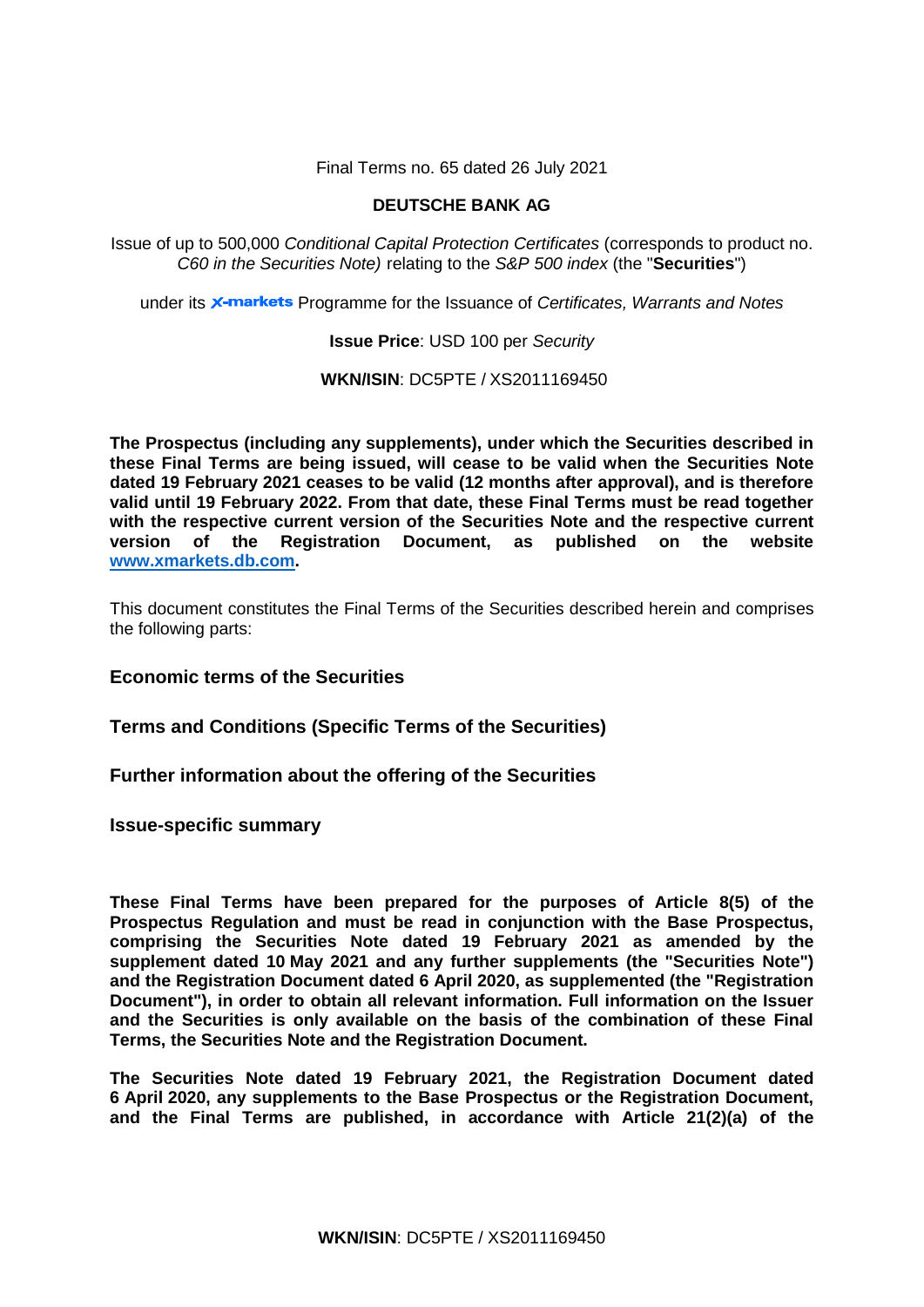Final Terms no. 65 dated 26 July 2021

# **DEUTSCHE BANK AG**

Issue of up to 500,000 *Conditional Capital Protection Certificates* (corresponds to product no. *C60 in the Securities Note)* relating to the *S&P 500 index* (the "**Securities**")

under its **x-markets** Programme for the Issuance of *Certificates, Warrants and Notes* 

**Issue Price**: USD 100 per *Security*

**WKN/ISIN**: DC5PTE / XS2011169450

**The Prospectus (including any supplements), under which the Securities described in these Final Terms are being issued, will cease to be valid when the Securities Note dated 19 February 2021 ceases to be valid (12 months after approval), and is therefore valid until 19 February 2022. From that date, these Final Terms must be read together with the respective current version of the Securities Note and the respective current version of the Registration Document, as published on the website [www.xmarkets.db.com.](http://www.xmarkets.db.com/)**

This document constitutes the Final Terms of the Securities described herein and comprises the following parts:

**Economic terms of the Securities**

**Terms and Conditions (Specific Terms of the Securities)**

**Further information about the offering of the Securities**

**Issue-specific summary**

**These Final Terms have been prepared for the purposes of Article 8(5) of the Prospectus Regulation and must be read in conjunction with the Base Prospectus, comprising the Securities Note dated 19 February 2021 as amended by the supplement dated 10 May 2021 and any further supplements (the "Securities Note") and the Registration Document dated 6 April 2020, as supplemented (the "Registration Document"), in order to obtain all relevant information. Full information on the Issuer and the Securities is only available on the basis of the combination of these Final Terms, the Securities Note and the Registration Document.** 

**The Securities Note dated 19 February 2021, the Registration Document dated 6 April 2020, any supplements to the Base Prospectus or the Registration Document, and the Final Terms are published, in accordance with Article 21(2)(a) of the**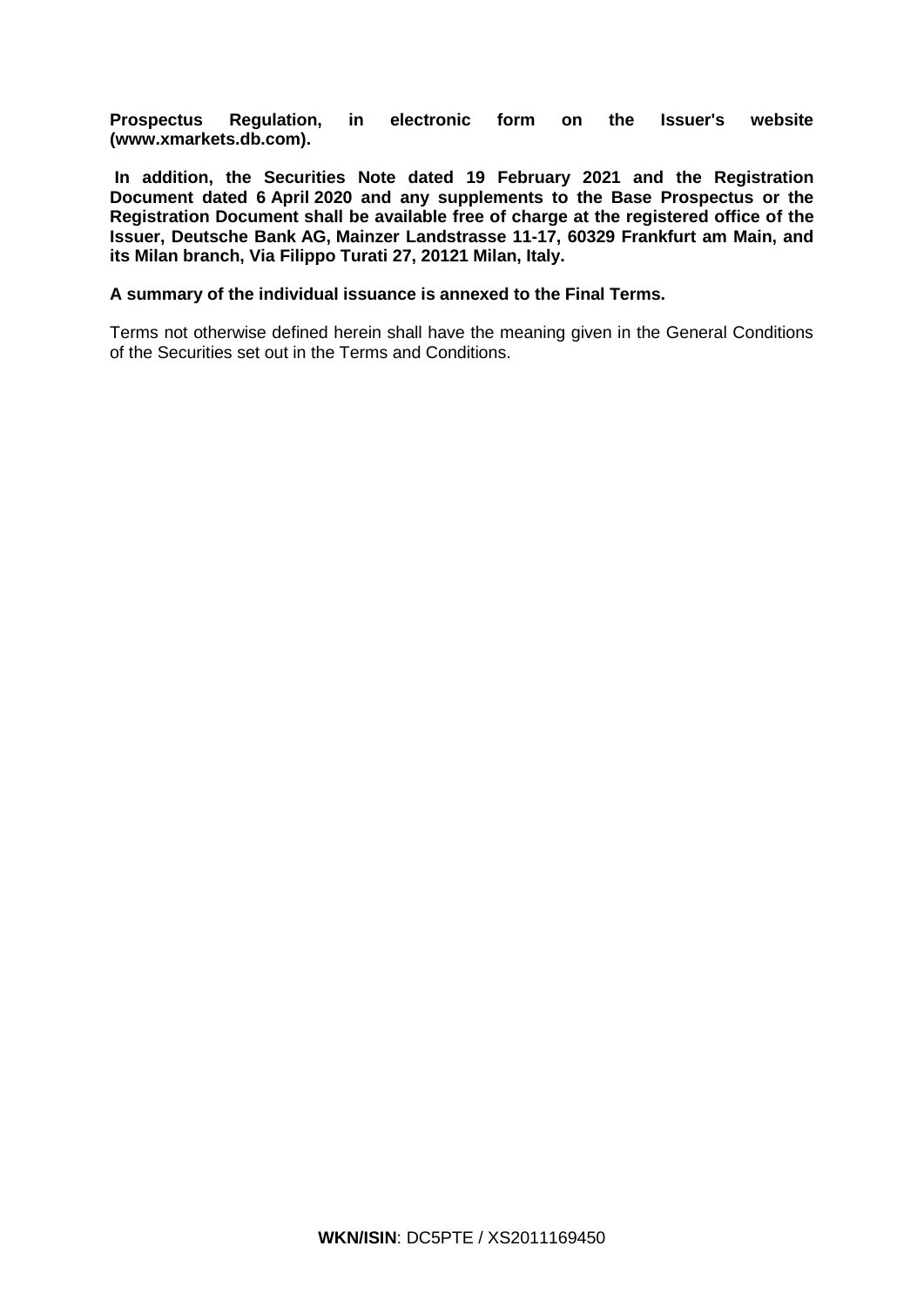**Prospectus Regulation, in electronic form on the Issuer's website [\(www.xmarkets.db.com\)](http://www.xmarkets.db.com/).**

**In addition, the Securities Note dated 19 February 2021 and the Registration Document dated 6 April 2020 and any supplements to the Base Prospectus or the Registration Document shall be available free of charge at the registered office of the Issuer, Deutsche Bank AG, Mainzer Landstrasse 11-17, 60329 Frankfurt am Main, and its Milan branch, Via Filippo Turati 27, 20121 Milan, Italy.**

# **A summary of the individual issuance is annexed to the Final Terms.**

Terms not otherwise defined herein shall have the meaning given in the General Conditions of the Securities set out in the Terms and Conditions.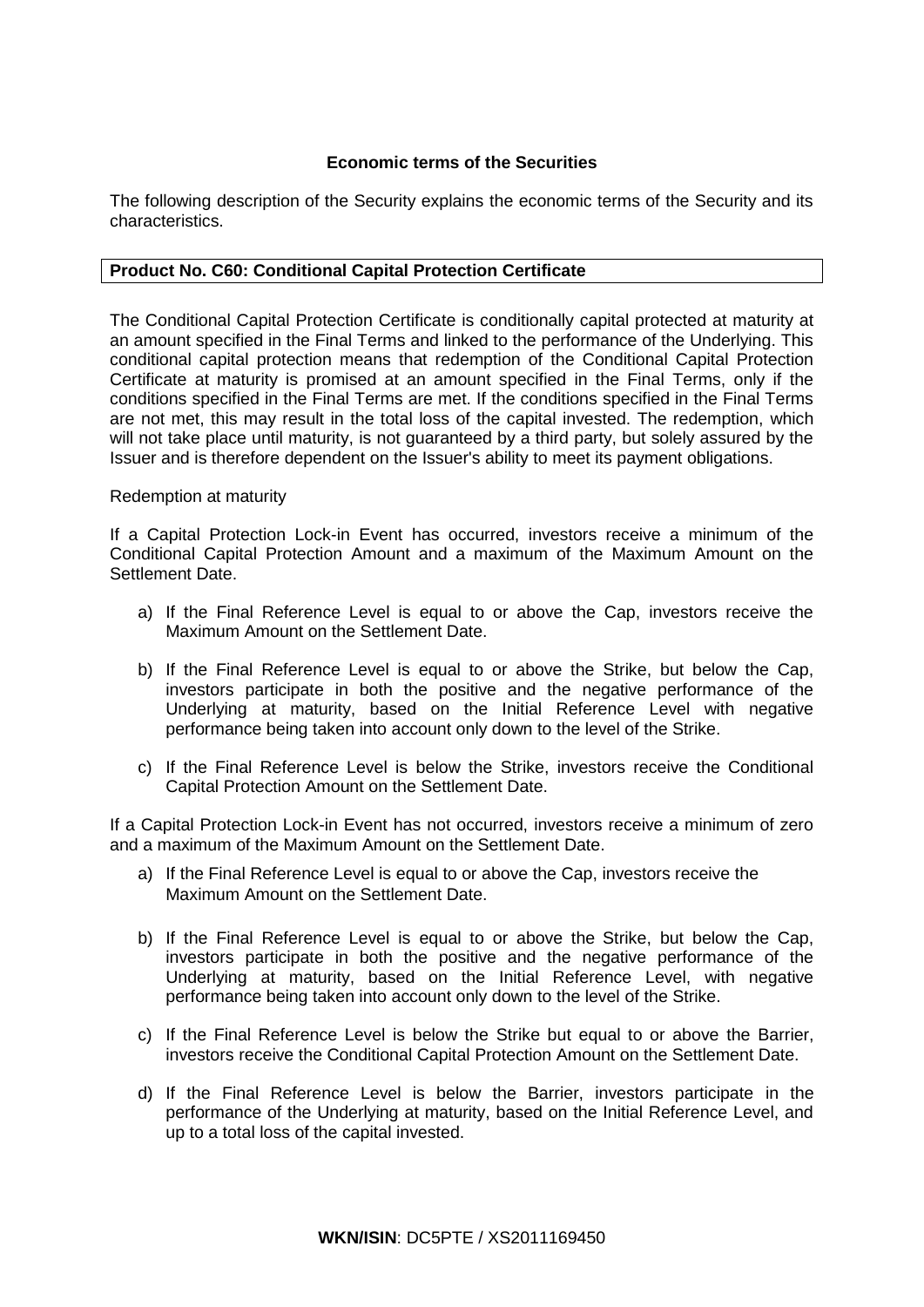# **Economic terms of the Securities**

The following description of the Security explains the economic terms of the Security and its characteristics.

# **Product No. C60: Conditional Capital Protection Certificate**

The Conditional Capital Protection Certificate is conditionally capital protected at maturity at an amount specified in the Final Terms and linked to the performance of the Underlying. This conditional capital protection means that redemption of the Conditional Capital Protection Certificate at maturity is promised at an amount specified in the Final Terms, only if the conditions specified in the Final Terms are met. If the conditions specified in the Final Terms are not met, this may result in the total loss of the capital invested. The redemption, which will not take place until maturity, is not guaranteed by a third party, but solely assured by the Issuer and is therefore dependent on the Issuer's ability to meet its payment obligations.

# Redemption at maturity

If a Capital Protection Lock-in Event has occurred, investors receive a minimum of the Conditional Capital Protection Amount and a maximum of the Maximum Amount on the Settlement Date.

- a) If the Final Reference Level is equal to or above the Cap, investors receive the Maximum Amount on the Settlement Date.
- b) If the Final Reference Level is equal to or above the Strike, but below the Cap, investors participate in both the positive and the negative performance of the Underlying at maturity, based on the Initial Reference Level with negative performance being taken into account only down to the level of the Strike.
- c) If the Final Reference Level is below the Strike, investors receive the Conditional Capital Protection Amount on the Settlement Date.

If a Capital Protection Lock-in Event has not occurred, investors receive a minimum of zero and a maximum of the Maximum Amount on the Settlement Date.

- a) If the Final Reference Level is equal to or above the Cap, investors receive the Maximum Amount on the Settlement Date.
- b) If the Final Reference Level is equal to or above the Strike, but below the Cap, investors participate in both the positive and the negative performance of the Underlying at maturity, based on the Initial Reference Level, with negative performance being taken into account only down to the level of the Strike.
- c) If the Final Reference Level is below the Strike but equal to or above the Barrier, investors receive the Conditional Capital Protection Amount on the Settlement Date.
- d) If the Final Reference Level is below the Barrier, investors participate in the performance of the Underlying at maturity, based on the Initial Reference Level, and up to a total loss of the capital invested.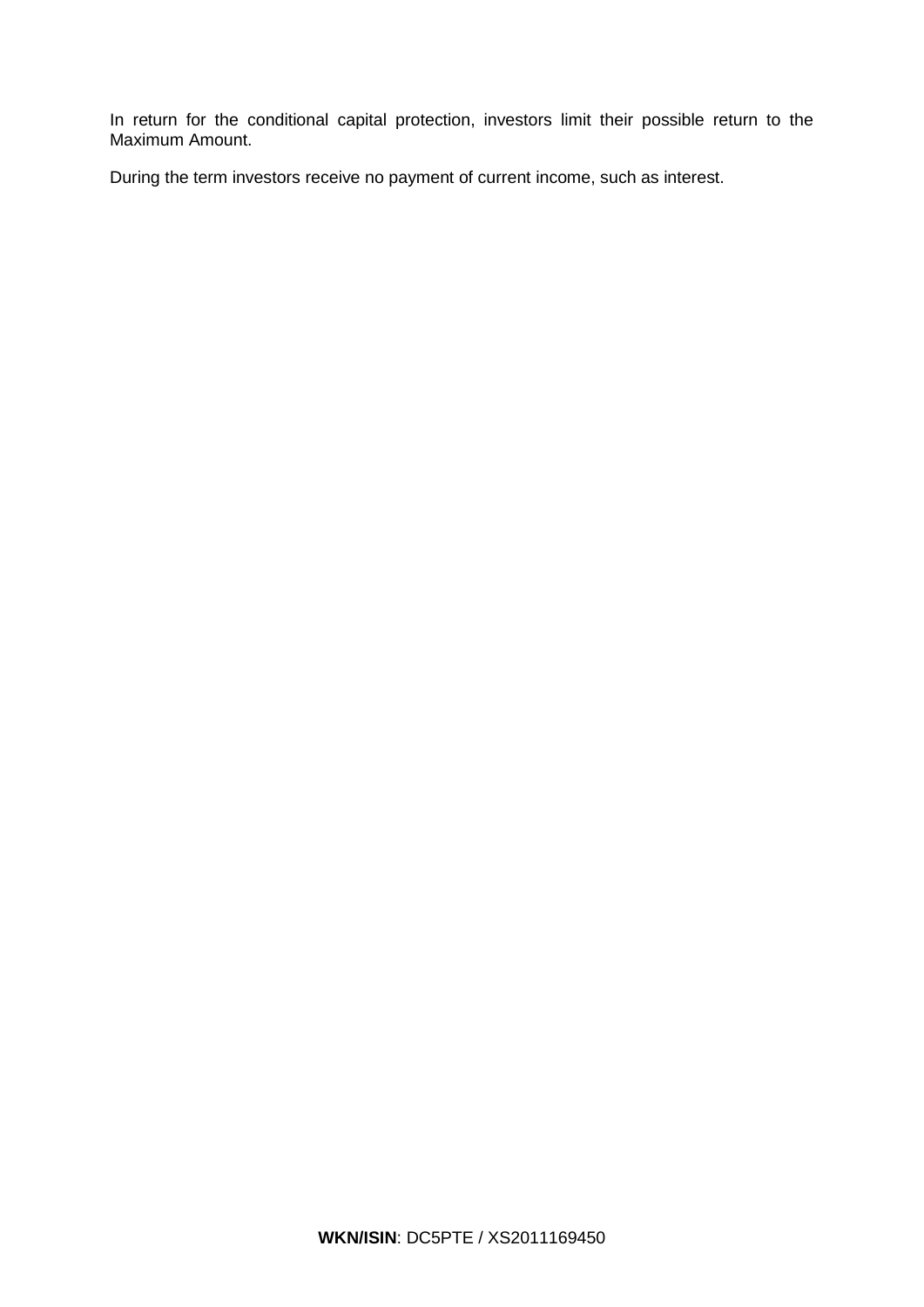In return for the conditional capital protection, investors limit their possible return to the Maximum Amount.

During the term investors receive no payment of current income, such as interest.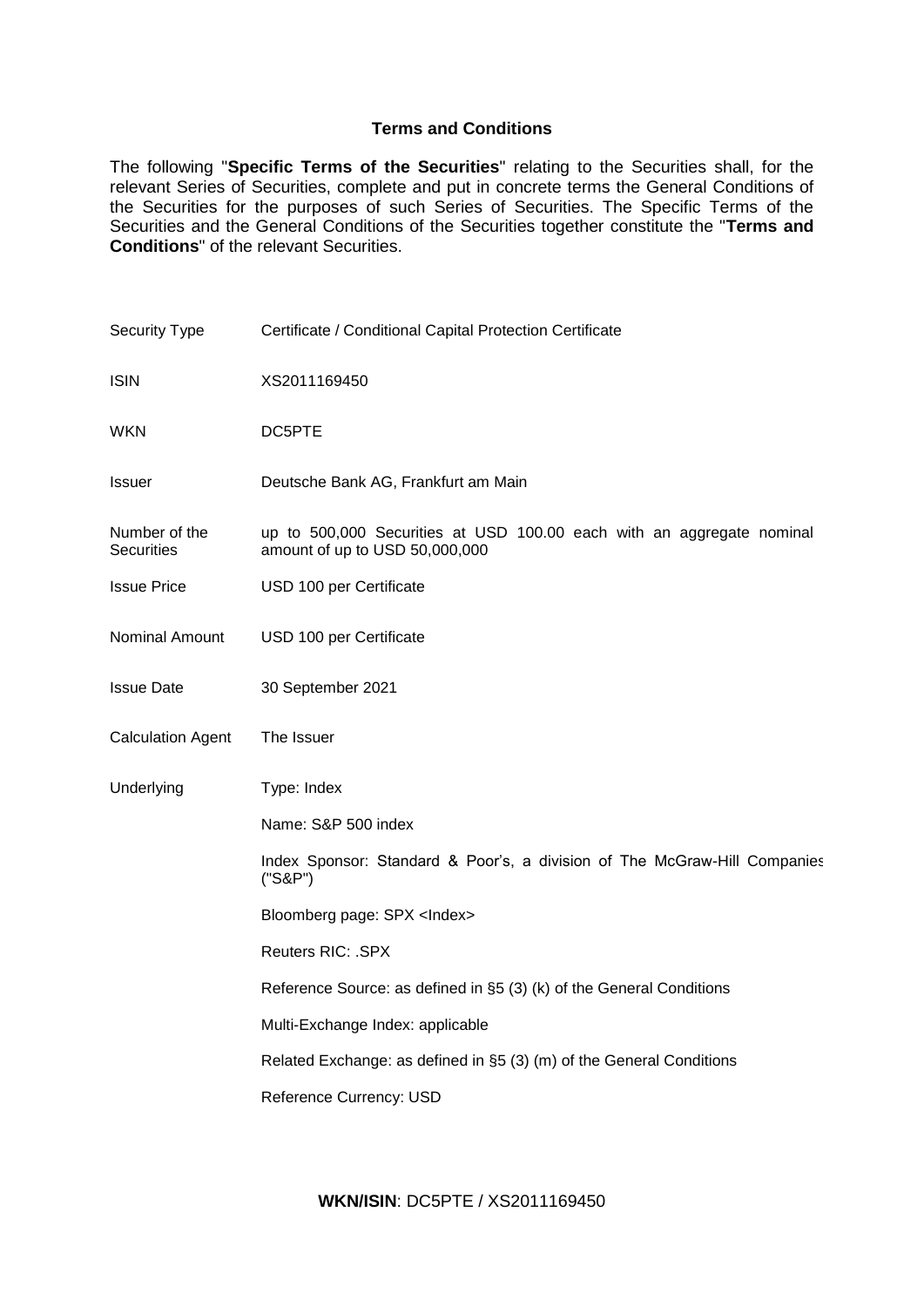# **Terms and Conditions**

The following "**Specific Terms of the Securities**" relating to the Securities shall, for the relevant Series of Securities, complete and put in concrete terms the General Conditions of the Securities for the purposes of such Series of Securities. The Specific Terms of the Securities and the General Conditions of the Securities together constitute the "**Terms and Conditions**" of the relevant Securities.

| Security Type                      | Certificate / Conditional Capital Protection Certificate                                                |
|------------------------------------|---------------------------------------------------------------------------------------------------------|
| <b>ISIN</b>                        | XS2011169450                                                                                            |
| <b>WKN</b>                         | DC5PTE                                                                                                  |
| Issuer                             | Deutsche Bank AG, Frankfurt am Main                                                                     |
| Number of the<br><b>Securities</b> | up to 500,000 Securities at USD 100.00 each with an aggregate nominal<br>amount of up to USD 50,000,000 |
| <b>Issue Price</b>                 | USD 100 per Certificate                                                                                 |
| Nominal Amount                     | USD 100 per Certificate                                                                                 |
| <b>Issue Date</b>                  | 30 September 2021                                                                                       |
| <b>Calculation Agent</b>           | The Issuer                                                                                              |
| Underlying                         | Type: Index                                                                                             |
|                                    | Name: S&P 500 index                                                                                     |
|                                    | Index Sponsor: Standard & Poor's, a division of The McGraw-Hill Companies<br>("S&P")                    |
|                                    | Bloomberg page: SPX <lndex></lndex>                                                                     |
|                                    | <b>Reuters RIC: .SPX</b>                                                                                |
|                                    | Reference Source: as defined in §5 (3) (k) of the General Conditions                                    |
|                                    | Multi-Exchange Index: applicable                                                                        |
|                                    | Related Exchange: as defined in §5 (3) (m) of the General Conditions                                    |
|                                    | Reference Currency: USD                                                                                 |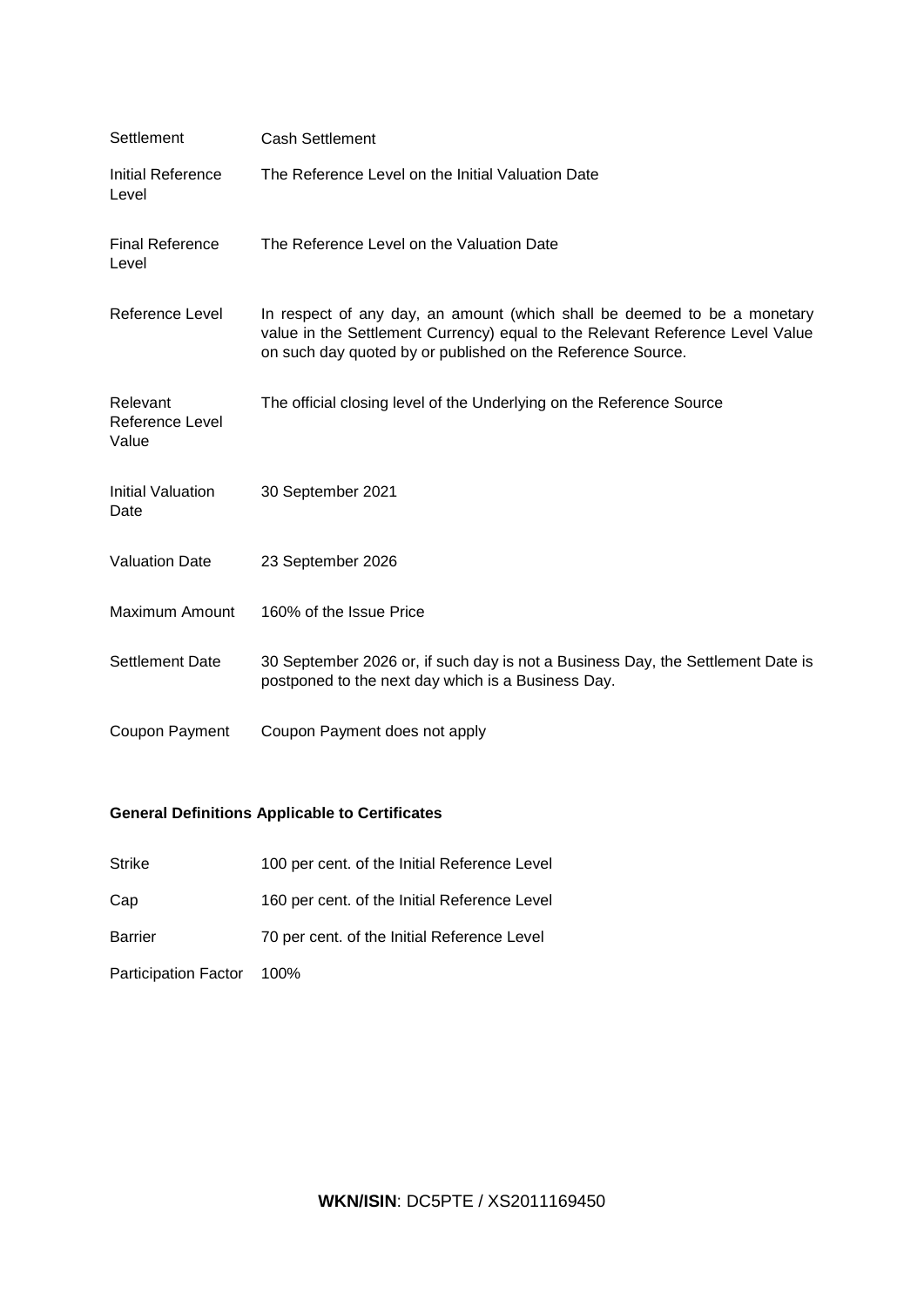| Settlement                           | <b>Cash Settlement</b>                                                                                                                                                                                                   |
|--------------------------------------|--------------------------------------------------------------------------------------------------------------------------------------------------------------------------------------------------------------------------|
| Initial Reference<br>Level           | The Reference Level on the Initial Valuation Date                                                                                                                                                                        |
| <b>Final Reference</b><br>Level      | The Reference Level on the Valuation Date                                                                                                                                                                                |
| <b>Reference Level</b>               | In respect of any day, an amount (which shall be deemed to be a monetary<br>value in the Settlement Currency) equal to the Relevant Reference Level Value<br>on such day quoted by or published on the Reference Source. |
| Relevant<br>Reference Level<br>Value | The official closing level of the Underlying on the Reference Source                                                                                                                                                     |
| <b>Initial Valuation</b><br>Date     | 30 September 2021                                                                                                                                                                                                        |
| <b>Valuation Date</b>                | 23 September 2026                                                                                                                                                                                                        |
| Maximum Amount                       | 160% of the Issue Price                                                                                                                                                                                                  |
| <b>Settlement Date</b>               | 30 September 2026 or, if such day is not a Business Day, the Settlement Date is<br>postponed to the next day which is a Business Day.                                                                                    |
| Coupon Payment                       | Coupon Payment does not apply                                                                                                                                                                                            |

# **General Definitions Applicable to Certificates**

- Strike 100 per cent. of the Initial Reference Level
- Cap 160 per cent. of the Initial Reference Level
- Barrier 70 per cent. of the Initial Reference Level

Participation Factor 100%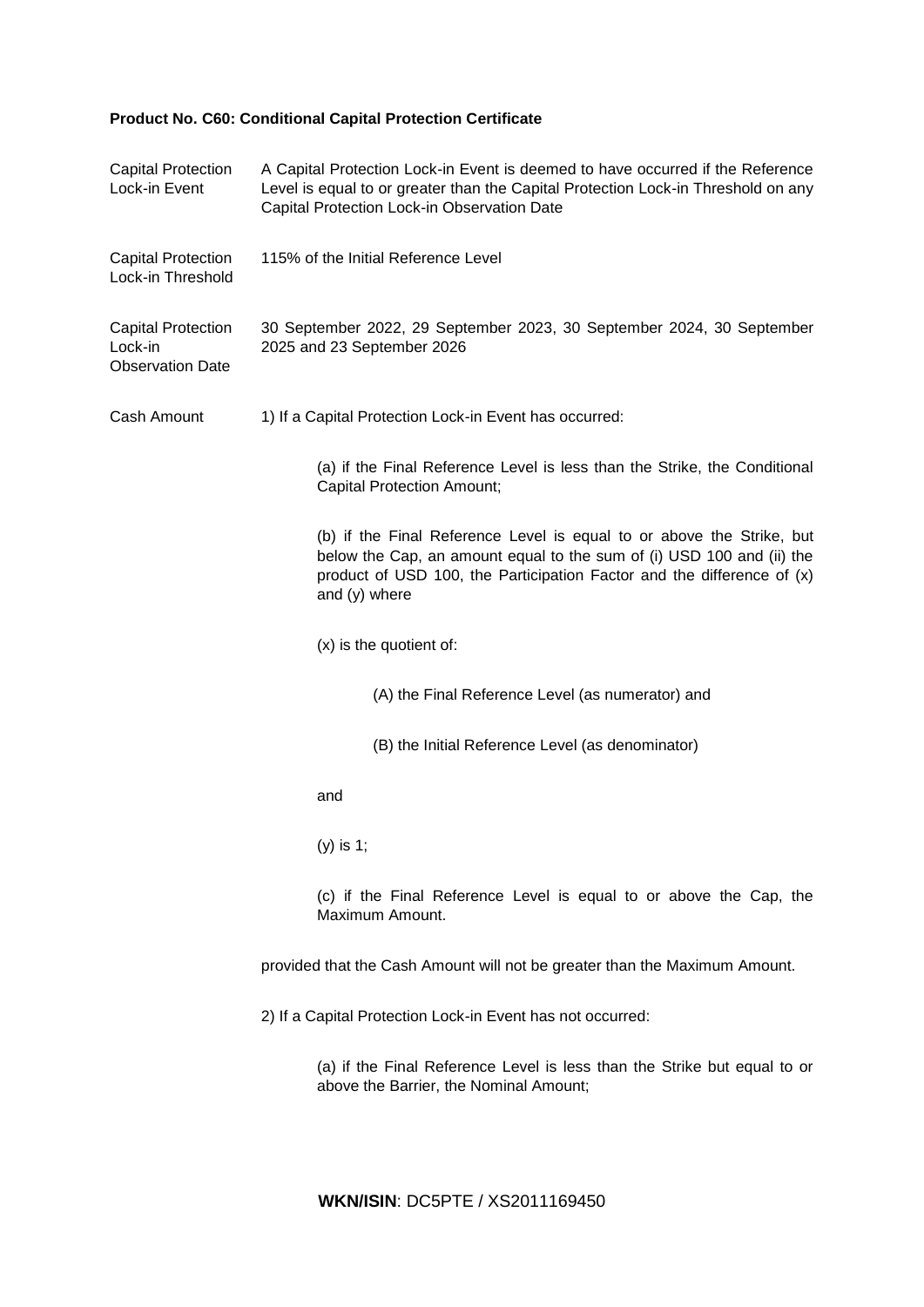# **Product No. C60: Conditional Capital Protection Certificate**

| <b>Capital Protection</b><br>Lock-in Event                      | A Capital Protection Lock-in Event is deemed to have occurred if the Reference<br>Level is equal to or greater than the Capital Protection Lock-in Threshold on any<br>Capital Protection Lock-in Observation Date                        |  |  |  |
|-----------------------------------------------------------------|-------------------------------------------------------------------------------------------------------------------------------------------------------------------------------------------------------------------------------------------|--|--|--|
| <b>Capital Protection</b><br>Lock-in Threshold                  | 115% of the Initial Reference Level                                                                                                                                                                                                       |  |  |  |
| <b>Capital Protection</b><br>Lock-in<br><b>Observation Date</b> | 30 September 2022, 29 September 2023, 30 September 2024, 30 September<br>2025 and 23 September 2026                                                                                                                                       |  |  |  |
| Cash Amount                                                     | 1) If a Capital Protection Lock-in Event has occurred:                                                                                                                                                                                    |  |  |  |
|                                                                 | (a) if the Final Reference Level is less than the Strike, the Conditional<br><b>Capital Protection Amount;</b>                                                                                                                            |  |  |  |
|                                                                 | (b) if the Final Reference Level is equal to or above the Strike, but<br>below the Cap, an amount equal to the sum of (i) USD 100 and (ii) the<br>product of USD 100, the Participation Factor and the difference of (x)<br>and (y) where |  |  |  |
|                                                                 | (x) is the quotient of:                                                                                                                                                                                                                   |  |  |  |
|                                                                 | (A) the Final Reference Level (as numerator) and                                                                                                                                                                                          |  |  |  |
|                                                                 | (B) the Initial Reference Level (as denominator)                                                                                                                                                                                          |  |  |  |
|                                                                 | and                                                                                                                                                                                                                                       |  |  |  |
|                                                                 | $(y)$ is 1;                                                                                                                                                                                                                               |  |  |  |
|                                                                 | (c) if the Final Reference Level is equal to or above the Cap, the<br>Maximum Amount.                                                                                                                                                     |  |  |  |
|                                                                 | provided that the Cash Amount will not be greater than the Maximum Amount.                                                                                                                                                                |  |  |  |
|                                                                 | 2) If a Capital Protection Lock-in Event has not occurred:                                                                                                                                                                                |  |  |  |
|                                                                 | (a) if the Final Reference Level is less than the Strike but equal to or<br>above the Barrier, the Nominal Amount;                                                                                                                        |  |  |  |
|                                                                 |                                                                                                                                                                                                                                           |  |  |  |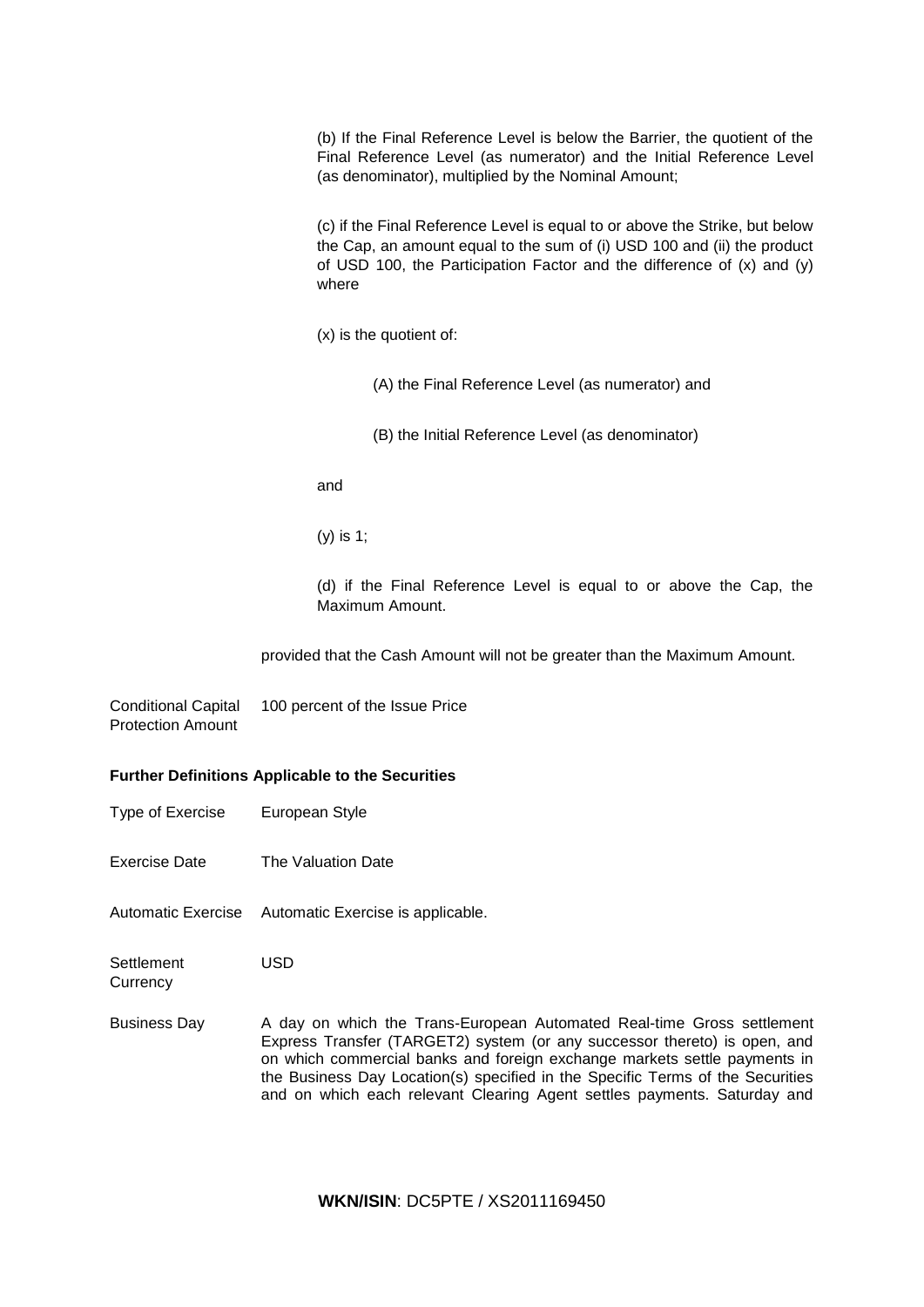(b) If the Final Reference Level is below the Barrier, the quotient of the Final Reference Level (as numerator) and the Initial Reference Level (as denominator), multiplied by the Nominal Amount;

(c) if the Final Reference Level is equal to or above the Strike, but below the Cap, an amount equal to the sum of (i) USD 100 and (ii) the product of USD 100, the Participation Factor and the difference of (x) and (y) where

(x) is the quotient of:

(A) the Final Reference Level (as numerator) and

(B) the Initial Reference Level (as denominator)

and

(y) is 1;

(d) if the Final Reference Level is equal to or above the Cap, the Maximum Amount.

provided that the Cash Amount will not be greater than the Maximum Amount.

Conditional Capital Protection Amount 100 percent of the Issue Price

# **Further Definitions Applicable to the Securities**

- Type of Exercise European Style
- Exercise Date The Valuation Date
- Automatic Exercise Automatic Exercise is applicable.

**Settlement Currency** USD

Business Day A day on which the Trans-European Automated Real-time Gross settlement Express Transfer (TARGET2) system (or any successor thereto) is open, and on which commercial banks and foreign exchange markets settle payments in the Business Day Location(s) specified in the Specific Terms of the Securities and on which each relevant Clearing Agent settles payments. Saturday and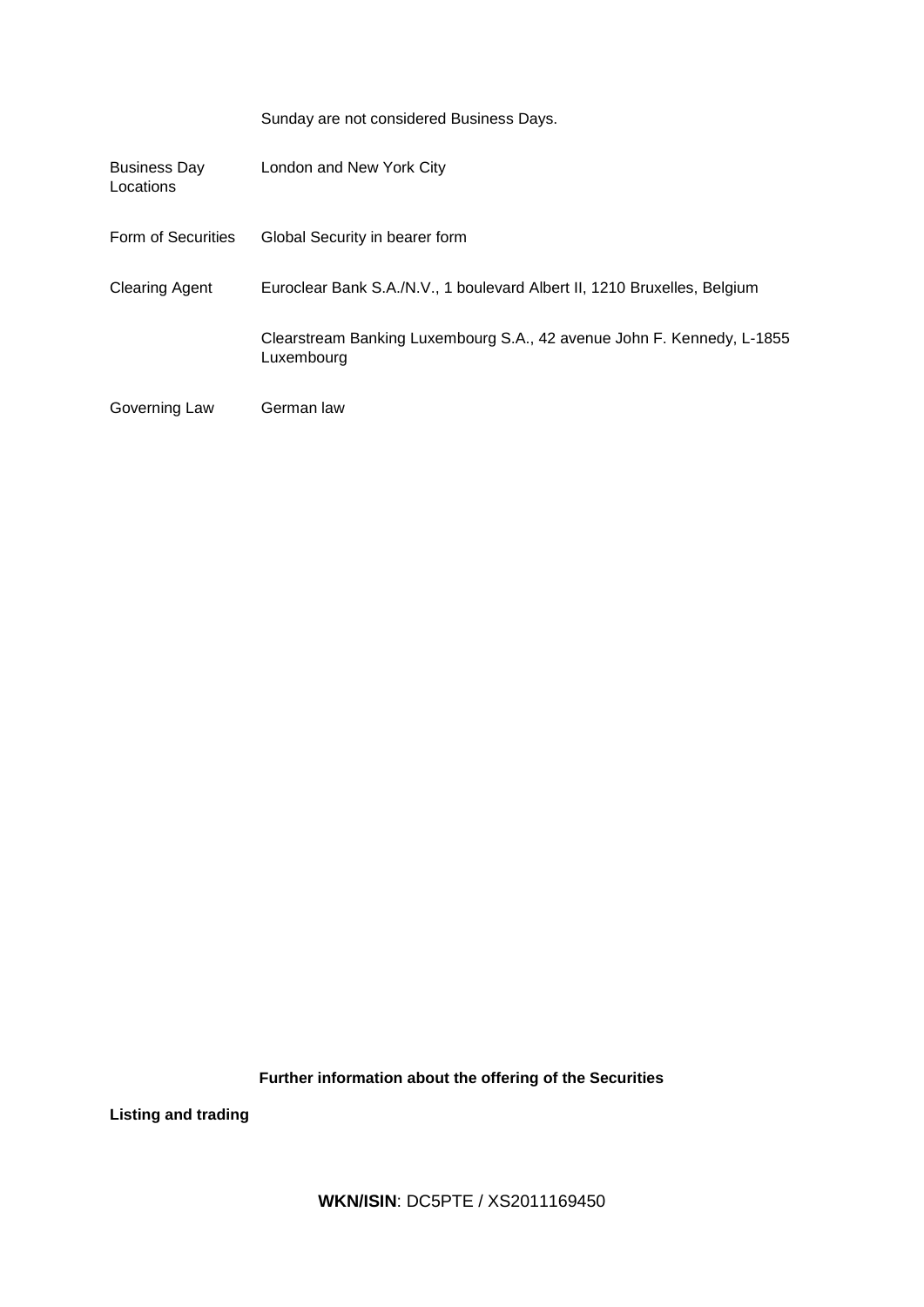|                                  | Sunday are not considered Business Days.                                             |
|----------------------------------|--------------------------------------------------------------------------------------|
| <b>Business Day</b><br>Locations | London and New York City                                                             |
| Form of Securities               | Global Security in bearer form                                                       |
| <b>Clearing Agent</b>            | Euroclear Bank S.A./N.V., 1 boulevard Albert II, 1210 Bruxelles, Belgium             |
|                                  | Clearstream Banking Luxembourg S.A., 42 avenue John F. Kennedy, L-1855<br>Luxembourg |
| Governing Law                    | German law                                                                           |

**Further information about the offering of the Securities**

**Listing and trading**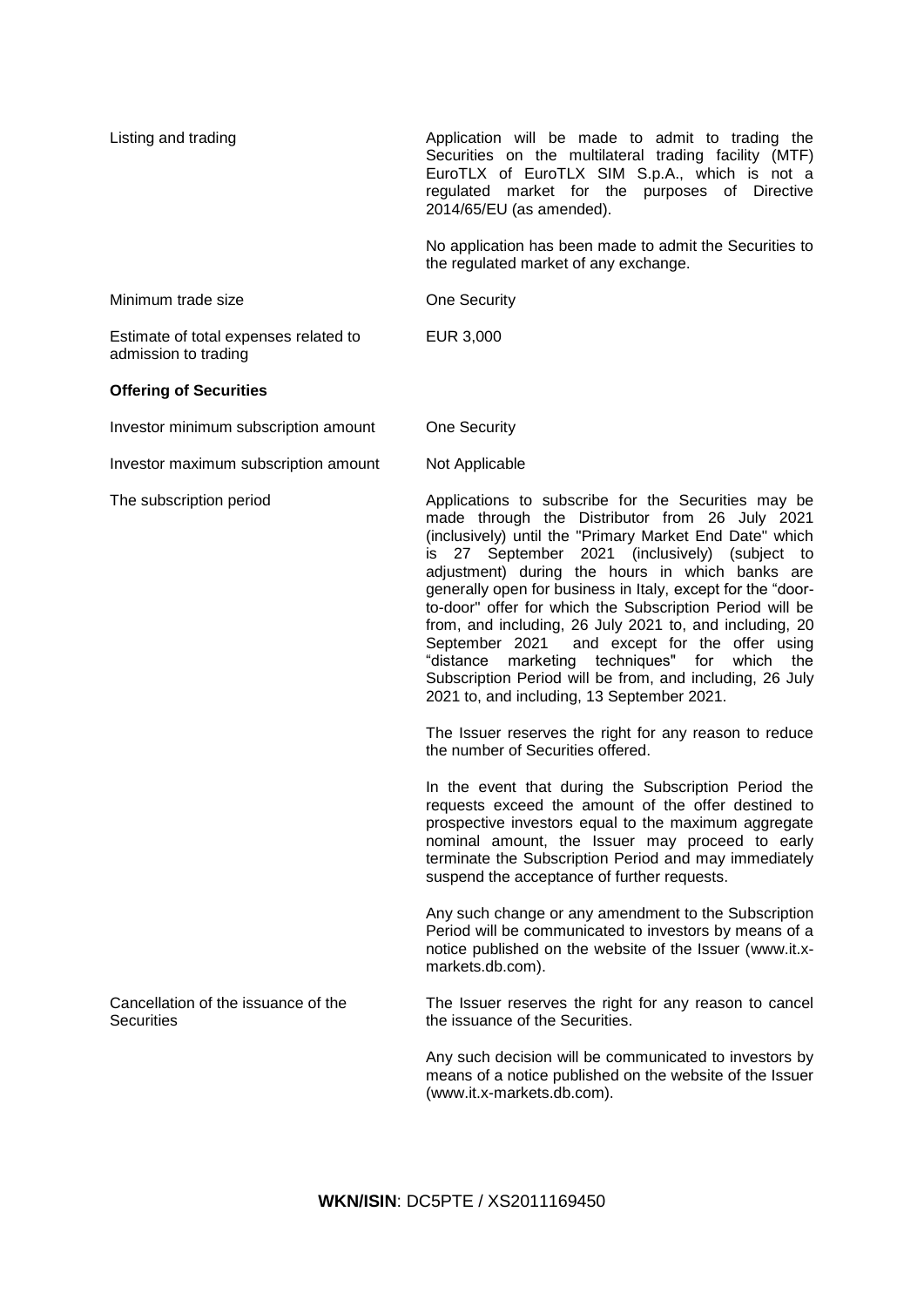| Listing and trading                                           | Application will be made to admit to trading the<br>Securities on the multilateral trading facility (MTF)<br>EuroTLX of EuroTLX SIM S.p.A., which is not a<br>regulated market for the purposes of Directive<br>2014/65/EU (as amended).                                                                                                                                                                                                                                                                                                                                                                                                                                                                                                                                                                                                                                                                                                                                                                                                                              |
|---------------------------------------------------------------|-----------------------------------------------------------------------------------------------------------------------------------------------------------------------------------------------------------------------------------------------------------------------------------------------------------------------------------------------------------------------------------------------------------------------------------------------------------------------------------------------------------------------------------------------------------------------------------------------------------------------------------------------------------------------------------------------------------------------------------------------------------------------------------------------------------------------------------------------------------------------------------------------------------------------------------------------------------------------------------------------------------------------------------------------------------------------|
|                                                               | No application has been made to admit the Securities to<br>the regulated market of any exchange.                                                                                                                                                                                                                                                                                                                                                                                                                                                                                                                                                                                                                                                                                                                                                                                                                                                                                                                                                                      |
| Minimum trade size                                            | One Security                                                                                                                                                                                                                                                                                                                                                                                                                                                                                                                                                                                                                                                                                                                                                                                                                                                                                                                                                                                                                                                          |
| Estimate of total expenses related to<br>admission to trading | EUR 3,000                                                                                                                                                                                                                                                                                                                                                                                                                                                                                                                                                                                                                                                                                                                                                                                                                                                                                                                                                                                                                                                             |
| <b>Offering of Securities</b>                                 |                                                                                                                                                                                                                                                                                                                                                                                                                                                                                                                                                                                                                                                                                                                                                                                                                                                                                                                                                                                                                                                                       |
| Investor minimum subscription amount                          | <b>One Security</b>                                                                                                                                                                                                                                                                                                                                                                                                                                                                                                                                                                                                                                                                                                                                                                                                                                                                                                                                                                                                                                                   |
| Investor maximum subscription amount                          | Not Applicable                                                                                                                                                                                                                                                                                                                                                                                                                                                                                                                                                                                                                                                                                                                                                                                                                                                                                                                                                                                                                                                        |
| The subscription period                                       | Applications to subscribe for the Securities may be<br>made through the Distributor from 26 July 2021<br>(inclusively) until the "Primary Market End Date" which<br>is 27 September 2021 (inclusively) (subject to<br>adjustment) during the hours in which banks are<br>generally open for business in Italy, except for the "door-<br>to-door" offer for which the Subscription Period will be<br>from, and including, 26 July 2021 to, and including, 20<br>September 2021<br>and except for the offer using<br>marketing techniques" for<br>which<br>"distance<br>the<br>Subscription Period will be from, and including, 26 July<br>2021 to, and including, 13 September 2021.<br>The Issuer reserves the right for any reason to reduce<br>the number of Securities offered.<br>In the event that during the Subscription Period the<br>requests exceed the amount of the offer destined to<br>prospective investors equal to the maximum aggregate<br>nominal amount, the Issuer may proceed to early<br>terminate the Subscription Period and may immediately |
|                                                               | suspend the acceptance of further requests.<br>Any such change or any amendment to the Subscription<br>Period will be communicated to investors by means of a<br>notice published on the website of the Issuer (www.it.x-<br>markets.db.com).                                                                                                                                                                                                                                                                                                                                                                                                                                                                                                                                                                                                                                                                                                                                                                                                                         |
| Cancellation of the issuance of the<br><b>Securities</b>      | The Issuer reserves the right for any reason to cancel<br>the issuance of the Securities.                                                                                                                                                                                                                                                                                                                                                                                                                                                                                                                                                                                                                                                                                                                                                                                                                                                                                                                                                                             |
|                                                               | Any such decision will be communicated to investors by<br>means of a notice published on the website of the Issuer<br>(www.it.x-markets.db.com).                                                                                                                                                                                                                                                                                                                                                                                                                                                                                                                                                                                                                                                                                                                                                                                                                                                                                                                      |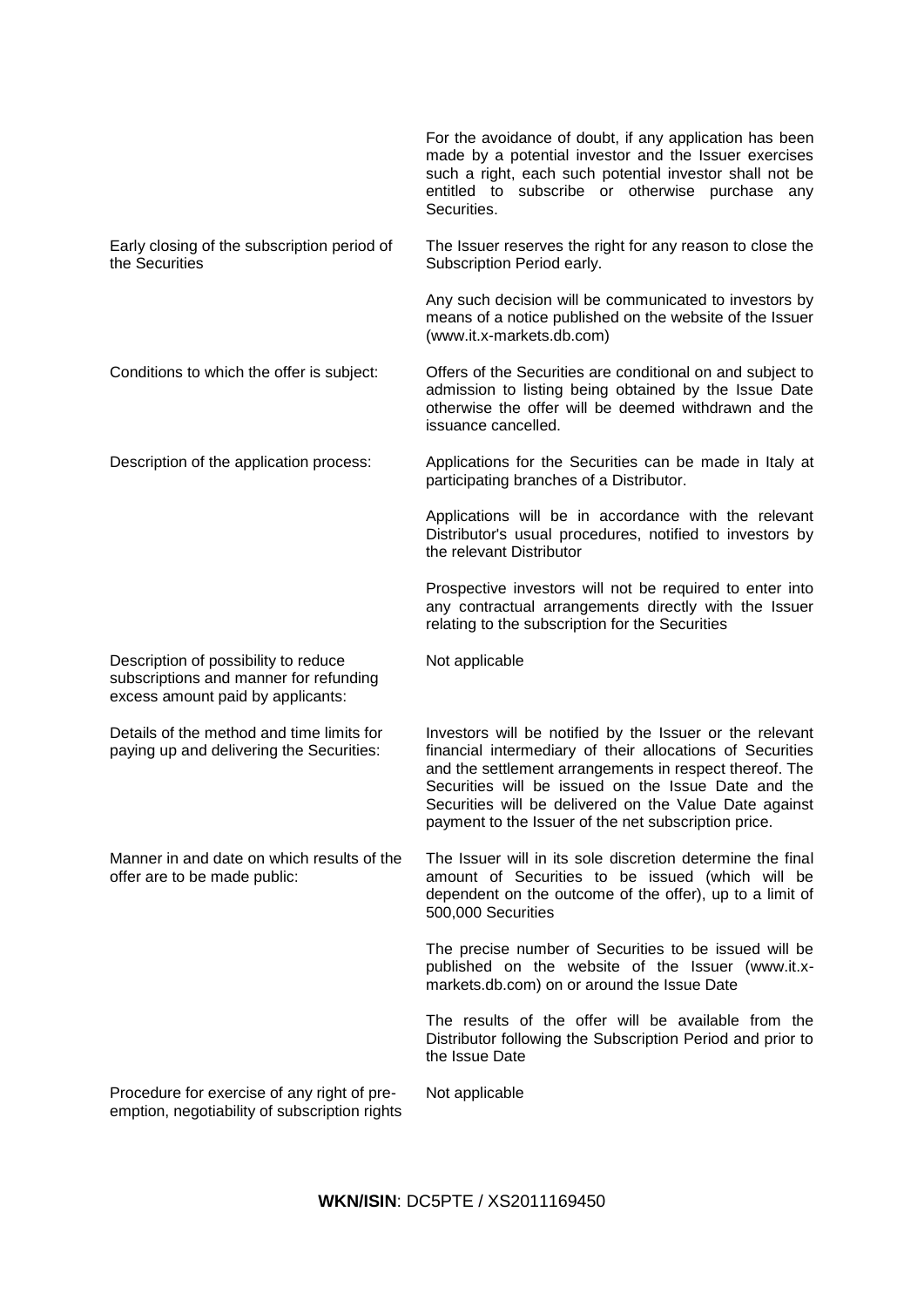|                                                                                                                     | For the avoidance of doubt, if any application has been<br>made by a potential investor and the Issuer exercises<br>such a right, each such potential investor shall not be<br>entitled to subscribe or otherwise purchase any<br>Securities.                                                                                                             |
|---------------------------------------------------------------------------------------------------------------------|-----------------------------------------------------------------------------------------------------------------------------------------------------------------------------------------------------------------------------------------------------------------------------------------------------------------------------------------------------------|
| Early closing of the subscription period of<br>the Securities                                                       | The Issuer reserves the right for any reason to close the<br>Subscription Period early.                                                                                                                                                                                                                                                                   |
|                                                                                                                     | Any such decision will be communicated to investors by<br>means of a notice published on the website of the Issuer<br>(www.it.x-markets.db.com)                                                                                                                                                                                                           |
| Conditions to which the offer is subject:                                                                           | Offers of the Securities are conditional on and subject to<br>admission to listing being obtained by the Issue Date<br>otherwise the offer will be deemed withdrawn and the<br>issuance cancelled.                                                                                                                                                        |
| Description of the application process:                                                                             | Applications for the Securities can be made in Italy at<br>participating branches of a Distributor.                                                                                                                                                                                                                                                       |
|                                                                                                                     | Applications will be in accordance with the relevant<br>Distributor's usual procedures, notified to investors by<br>the relevant Distributor                                                                                                                                                                                                              |
|                                                                                                                     | Prospective investors will not be required to enter into<br>any contractual arrangements directly with the Issuer<br>relating to the subscription for the Securities                                                                                                                                                                                      |
| Description of possibility to reduce<br>subscriptions and manner for refunding<br>excess amount paid by applicants: | Not applicable                                                                                                                                                                                                                                                                                                                                            |
| Details of the method and time limits for<br>paying up and delivering the Securities:                               | Investors will be notified by the Issuer or the relevant<br>financial intermediary of their allocations of Securities<br>and the settlement arrangements in respect thereof. The<br>Securities will be issued on the Issue Date and the<br>Securities will be delivered on the Value Date against<br>payment to the Issuer of the net subscription price. |
| Manner in and date on which results of the<br>offer are to be made public:                                          | The Issuer will in its sole discretion determine the final<br>amount of Securities to be issued (which will be<br>dependent on the outcome of the offer), up to a limit of<br>500,000 Securities                                                                                                                                                          |
|                                                                                                                     | The precise number of Securities to be issued will be<br>published on the website of the Issuer (www.it.x-<br>markets.db.com) on or around the Issue Date                                                                                                                                                                                                 |
|                                                                                                                     | The results of the offer will be available from the<br>Distributor following the Subscription Period and prior to<br>the Issue Date                                                                                                                                                                                                                       |
| Procedure for exercise of any right of pre-<br>emption, negotiability of subscription rights                        | Not applicable                                                                                                                                                                                                                                                                                                                                            |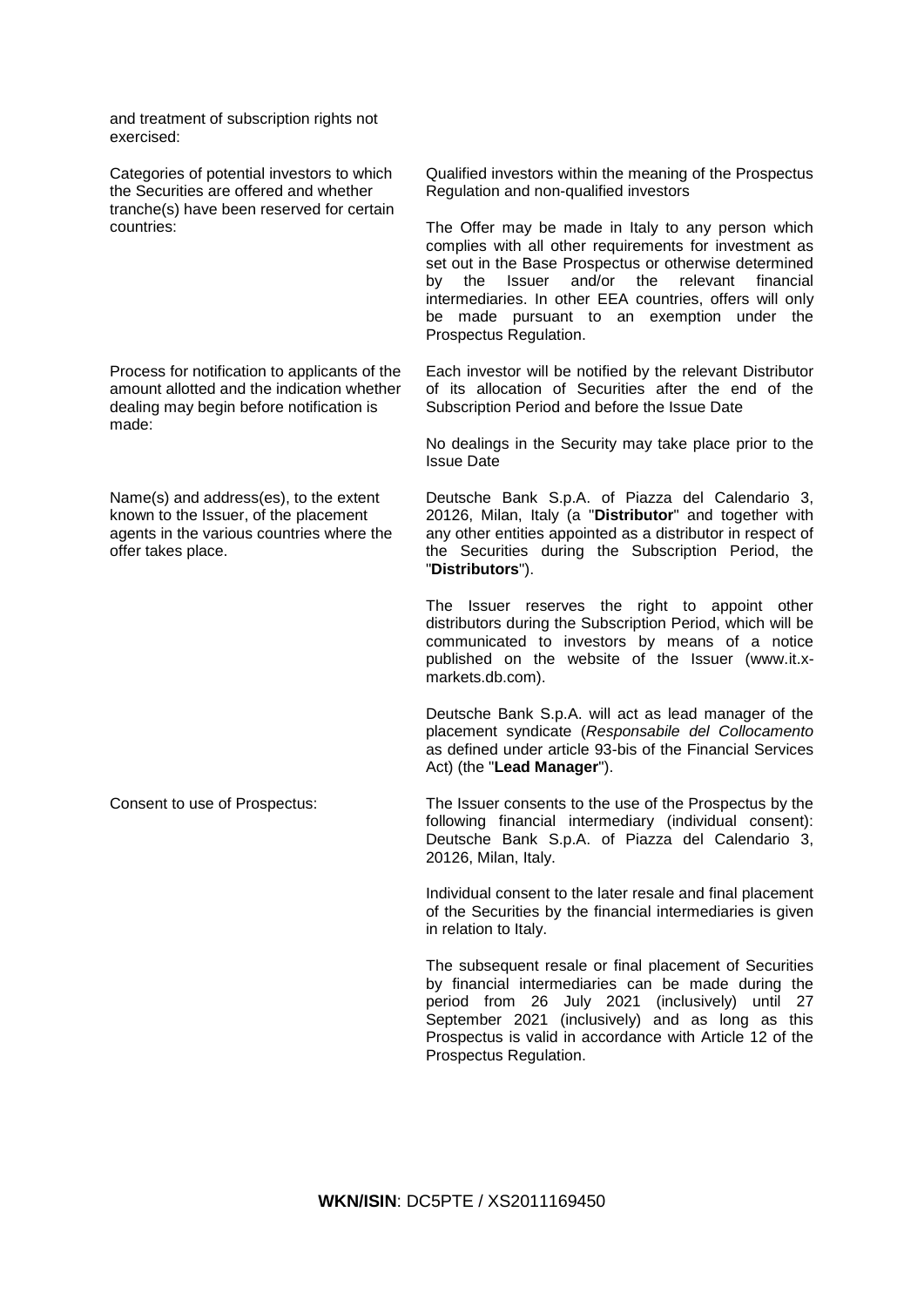and treatment of subscription rights not exercised:

Categories of potential investors to which the Securities are offered and whether tranche(s) have been reserved for certain countries:

Process for notification to applicants of the amount allotted and the indication whether dealing may begin before notification is made:

Name(s) and address(es), to the extent known to the Issuer, of the placement agents in the various countries where the offer takes place.

Qualified investors within the meaning of the Prospectus Regulation and non-qualified investors

The Offer may be made in Italy to any person which complies with all other requirements for investment as set out in the Base Prospectus or otherwise determined by the Issuer and/or the relevant financial intermediaries. In other EEA countries, offers will only be made pursuant to an exemption under the Prospectus Regulation.

Each investor will be notified by the relevant Distributor of its allocation of Securities after the end of the Subscription Period and before the Issue Date

No dealings in the Security may take place prior to the Issue Date

Deutsche Bank S.p.A. of Piazza del Calendario 3, 20126, Milan, Italy (a "**Distributor**" and together with any other entities appointed as a distributor in respect of the Securities during the Subscription Period, the "**Distributors**").

The Issuer reserves the right to appoint other distributors during the Subscription Period, which will be communicated to investors by means of a notice published on the website of the Issuer (www.it.xmarkets.db.com).

Deutsche Bank S.p.A. will act as lead manager of the placement syndicate (*Responsabile del Collocamento*  as defined under article 93-bis of the Financial Services Act) (the "**Lead Manager**").

Consent to use of Prospectus: The Issuer consents to the use of the Prospectus by the following financial intermediary (individual consent): Deutsche Bank S.p.A. of Piazza del Calendario 3, 20126, Milan, Italy.

> Individual consent to the later resale and final placement of the Securities by the financial intermediaries is given in relation to Italy.

> The subsequent resale or final placement of Securities by financial intermediaries can be made during the period from 26 July 2021 (inclusively) until 27 September 2021 (inclusively) and as long as this Prospectus is valid in accordance with Article 12 of the Prospectus Regulation.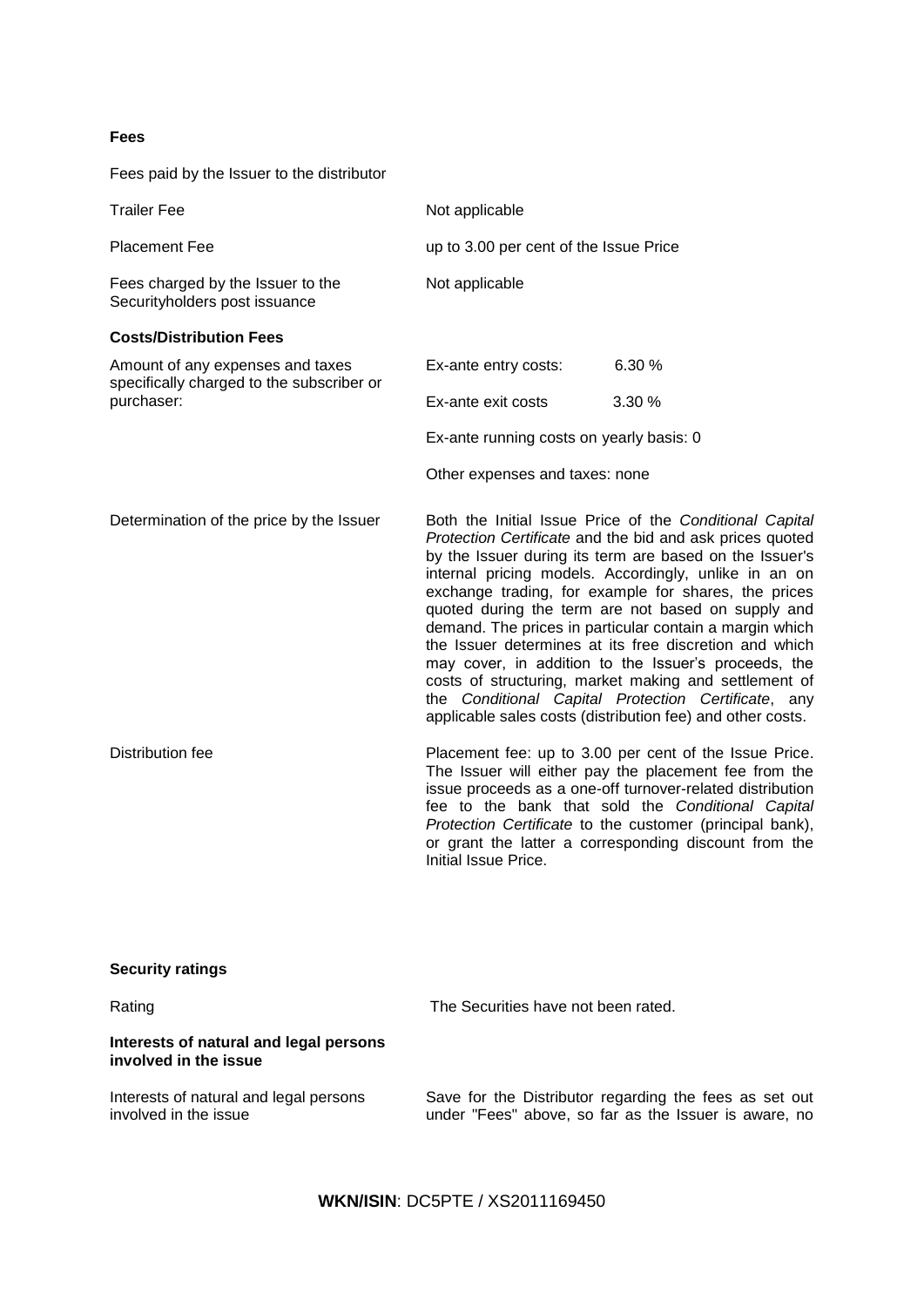# **Fees**

Fees paid by the Issuer to the distributor

| <b>Trailer Fee</b>                                                            | Not applicable                                                                                                                                                                                                                                                                                                                                                                                                                                                                                                                                                                                                                                                                                                   |        |  |
|-------------------------------------------------------------------------------|------------------------------------------------------------------------------------------------------------------------------------------------------------------------------------------------------------------------------------------------------------------------------------------------------------------------------------------------------------------------------------------------------------------------------------------------------------------------------------------------------------------------------------------------------------------------------------------------------------------------------------------------------------------------------------------------------------------|--------|--|
| <b>Placement Fee</b>                                                          | up to 3.00 per cent of the Issue Price                                                                                                                                                                                                                                                                                                                                                                                                                                                                                                                                                                                                                                                                           |        |  |
| Fees charged by the Issuer to the<br>Securityholders post issuance            | Not applicable                                                                                                                                                                                                                                                                                                                                                                                                                                                                                                                                                                                                                                                                                                   |        |  |
| <b>Costs/Distribution Fees</b>                                                |                                                                                                                                                                                                                                                                                                                                                                                                                                                                                                                                                                                                                                                                                                                  |        |  |
| Amount of any expenses and taxes<br>specifically charged to the subscriber or | Ex-ante entry costs:                                                                                                                                                                                                                                                                                                                                                                                                                                                                                                                                                                                                                                                                                             | 6.30 % |  |
| purchaser:                                                                    | Ex-ante exit costs                                                                                                                                                                                                                                                                                                                                                                                                                                                                                                                                                                                                                                                                                               | 3.30 % |  |
|                                                                               | Ex-ante running costs on yearly basis: 0                                                                                                                                                                                                                                                                                                                                                                                                                                                                                                                                                                                                                                                                         |        |  |
|                                                                               | Other expenses and taxes: none                                                                                                                                                                                                                                                                                                                                                                                                                                                                                                                                                                                                                                                                                   |        |  |
| Determination of the price by the Issuer                                      | Both the Initial Issue Price of the Conditional Capital<br>Protection Certificate and the bid and ask prices quoted<br>by the Issuer during its term are based on the Issuer's<br>internal pricing models. Accordingly, unlike in an on<br>exchange trading, for example for shares, the prices<br>quoted during the term are not based on supply and<br>demand. The prices in particular contain a margin which<br>the Issuer determines at its free discretion and which<br>may cover, in addition to the Issuer's proceeds, the<br>costs of structuring, market making and settlement of<br>the Conditional Capital Protection Certificate, any<br>applicable sales costs (distribution fee) and other costs. |        |  |
| <b>Distribution fee</b>                                                       | Placement fee: up to 3.00 per cent of the Issue Price.<br>The Issuer will either pay the placement fee from the<br>issue proceeds as a one-off turnover-related distribution<br>fee to the bank that sold the Conditional Capital<br>Protection Certificate to the customer (principal bank),<br>or grant the latter a corresponding discount from the<br>Initial Issue Price.                                                                                                                                                                                                                                                                                                                                   |        |  |
|                                                                               |                                                                                                                                                                                                                                                                                                                                                                                                                                                                                                                                                                                                                                                                                                                  |        |  |

| <b>Security ratings</b> |  |
|-------------------------|--|
|-------------------------|--|

| Rating                                                          | The Securities have not been rated.                                                                             |  |  |  |
|-----------------------------------------------------------------|-----------------------------------------------------------------------------------------------------------------|--|--|--|
| Interests of natural and legal persons<br>involved in the issue |                                                                                                                 |  |  |  |
| Interests of natural and legal persons<br>involved in the issue | Save for the Distributor regarding the fees as set out<br>under "Fees" above, so far as the Issuer is aware, no |  |  |  |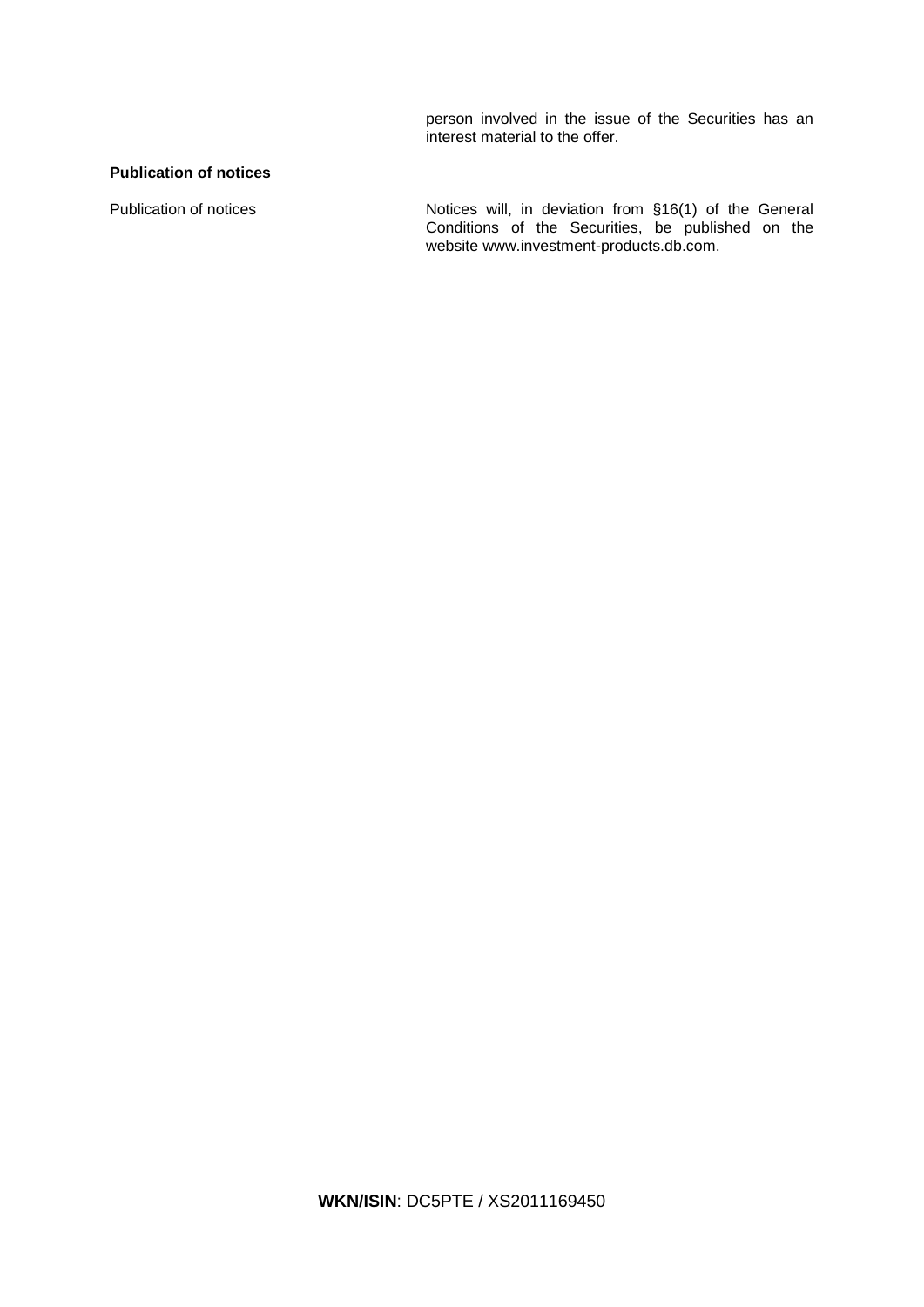person involved in the issue of the Securities has an interest material to the offer.

# **Publication of notices**

Publication of notices **Notices** Notices will, in deviation from §16(1) of the General Conditions of the Securities, be published on the website www.investment-products.db.com.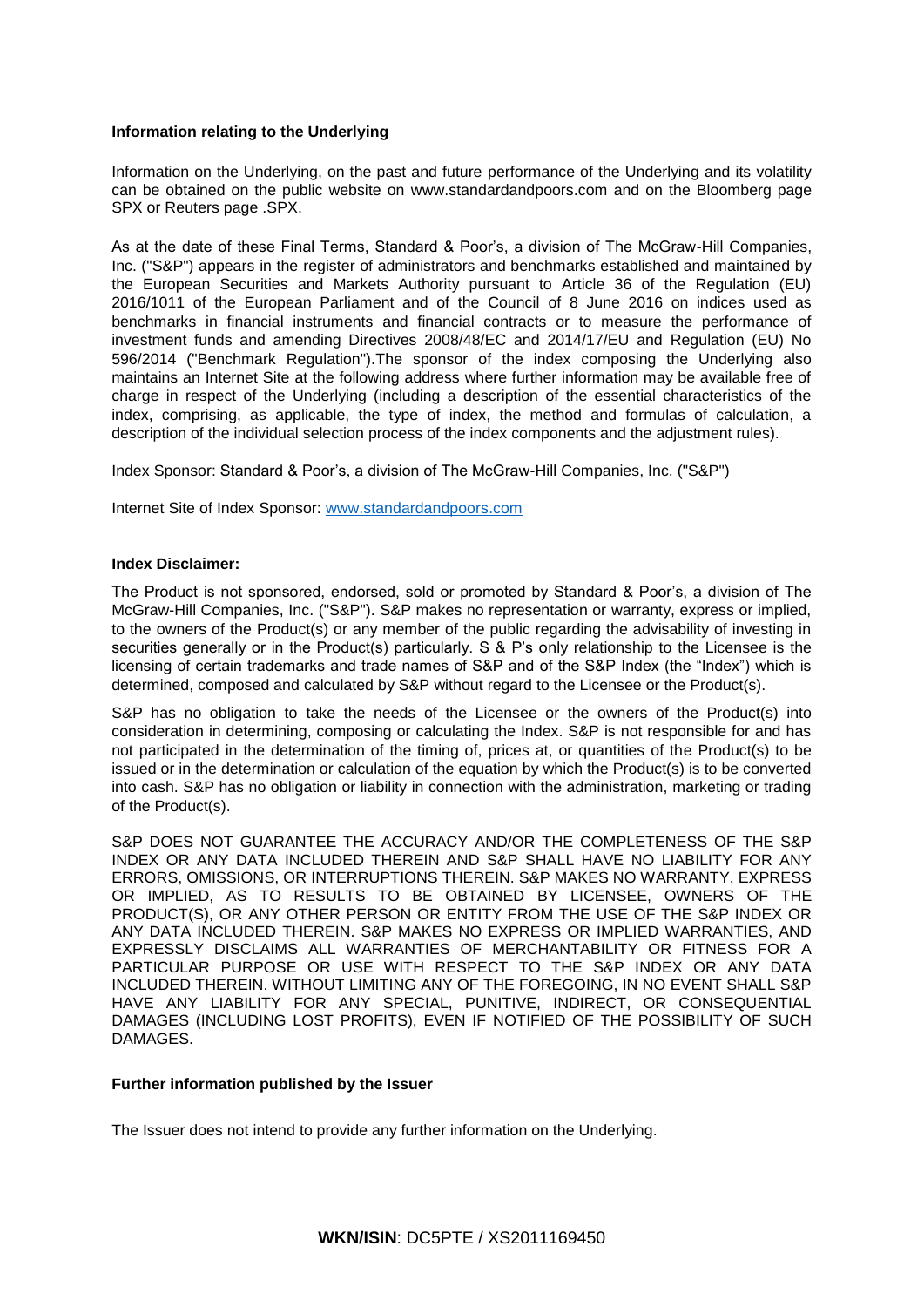# **Information relating to the Underlying**

Information on the Underlying, on the past and future performance of the Underlying and its volatility can be obtained on the public website on www.standardandpoors.com and on the Bloomberg page SPX or Reuters page .SPX.

As at the date of these Final Terms, Standard & Poor's, a division of The McGraw-Hill Companies, Inc. ("S&P") appears in the register of administrators and benchmarks established and maintained by the European Securities and Markets Authority pursuant to Article 36 of the Regulation (EU) 2016/1011 of the European Parliament and of the Council of 8 June 2016 on indices used as benchmarks in financial instruments and financial contracts or to measure the performance of investment funds and amending Directives 2008/48/EC and 2014/17/EU and Regulation (EU) No 596/2014 ("Benchmark Regulation").The sponsor of the index composing the Underlying also maintains an Internet Site at the following address where further information may be available free of charge in respect of the Underlying (including a description of the essential characteristics of the index, comprising, as applicable, the type of index, the method and formulas of calculation, a description of the individual selection process of the index components and the adjustment rules).

Index Sponsor: Standard & Poor's, a division of The McGraw-Hill Companies, Inc. ("S&P")

Internet Site of Index Sponsor: [www.standardandpoors.com](http://www.standardandpoors.com/)

# **Index Disclaimer:**

The Product is not sponsored, endorsed, sold or promoted by Standard & Poor's, a division of The McGraw-Hill Companies, Inc. ("S&P"). S&P makes no representation or warranty, express or implied, to the owners of the Product(s) or any member of the public regarding the advisability of investing in securities generally or in the Product(s) particularly. S & P's only relationship to the Licensee is the licensing of certain trademarks and trade names of S&P and of the S&P Index (the "Index") which is determined, composed and calculated by S&P without regard to the Licensee or the Product(s).

S&P has no obligation to take the needs of the Licensee or the owners of the Product(s) into consideration in determining, composing or calculating the Index. S&P is not responsible for and has not participated in the determination of the timing of, prices at, or quantities of the Product(s) to be issued or in the determination or calculation of the equation by which the Product(s) is to be converted into cash. S&P has no obligation or liability in connection with the administration, marketing or trading of the Product(s).

S&P DOES NOT GUARANTEE THE ACCURACY AND/OR THE COMPLETENESS OF THE S&P INDEX OR ANY DATA INCLUDED THEREIN AND S&P SHALL HAVE NO LIABILITY FOR ANY ERRORS, OMISSIONS, OR INTERRUPTIONS THEREIN. S&P MAKES NO WARRANTY, EXPRESS OR IMPLIED, AS TO RESULTS TO BE OBTAINED BY LICENSEE, OWNERS OF THE PRODUCT(S), OR ANY OTHER PERSON OR ENTITY FROM THE USE OF THE S&P INDEX OR ANY DATA INCLUDED THEREIN. S&P MAKES NO EXPRESS OR IMPLIED WARRANTIES, AND EXPRESSLY DISCLAIMS ALL WARRANTIES OF MERCHANTABILITY OR FITNESS FOR A PARTICULAR PURPOSE OR USE WITH RESPECT TO THE S&P INDEX OR ANY DATA INCLUDED THEREIN. WITHOUT LIMITING ANY OF THE FOREGOING, IN NO EVENT SHALL S&P HAVE ANY LIABILITY FOR ANY SPECIAL, PUNITIVE, INDIRECT, OR CONSEQUENTIAL DAMAGES (INCLUDING LOST PROFITS), EVEN IF NOTIFIED OF THE POSSIBILITY OF SUCH DAMAGES.

# **Further information published by the Issuer**

The Issuer does not intend to provide any further information on the Underlying.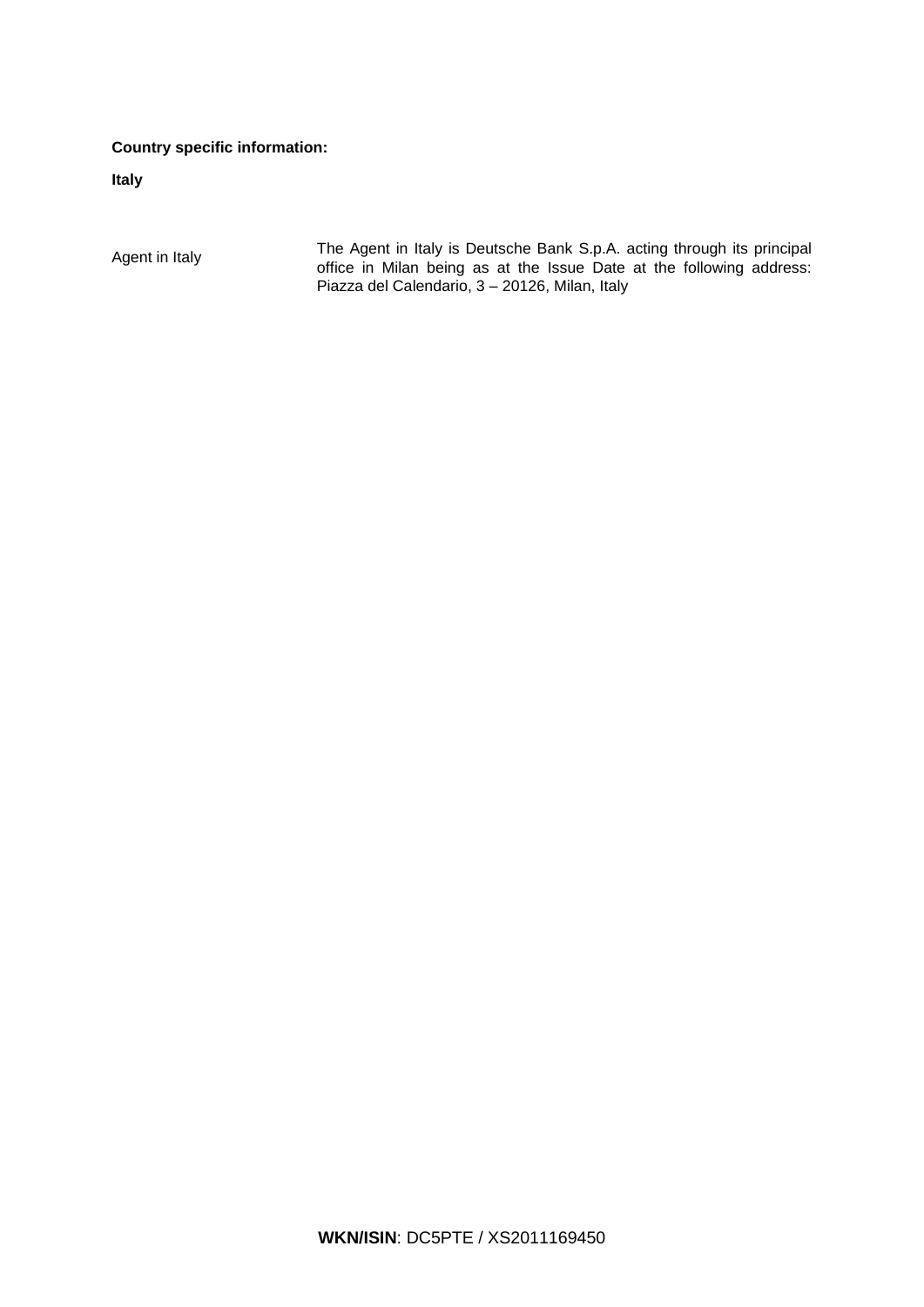# **Country specific information:**

**Italy**

Agent in Italy The Agent in Italy is Deutsche Bank S.p.A. acting through its principal<br>
Agent in Italy of the Agent in Milen being as at the locus Deta at the following address: office in Milan being as at the Issue Date at the following address: Piazza del Calendario, 3 – 20126, Milan, Italy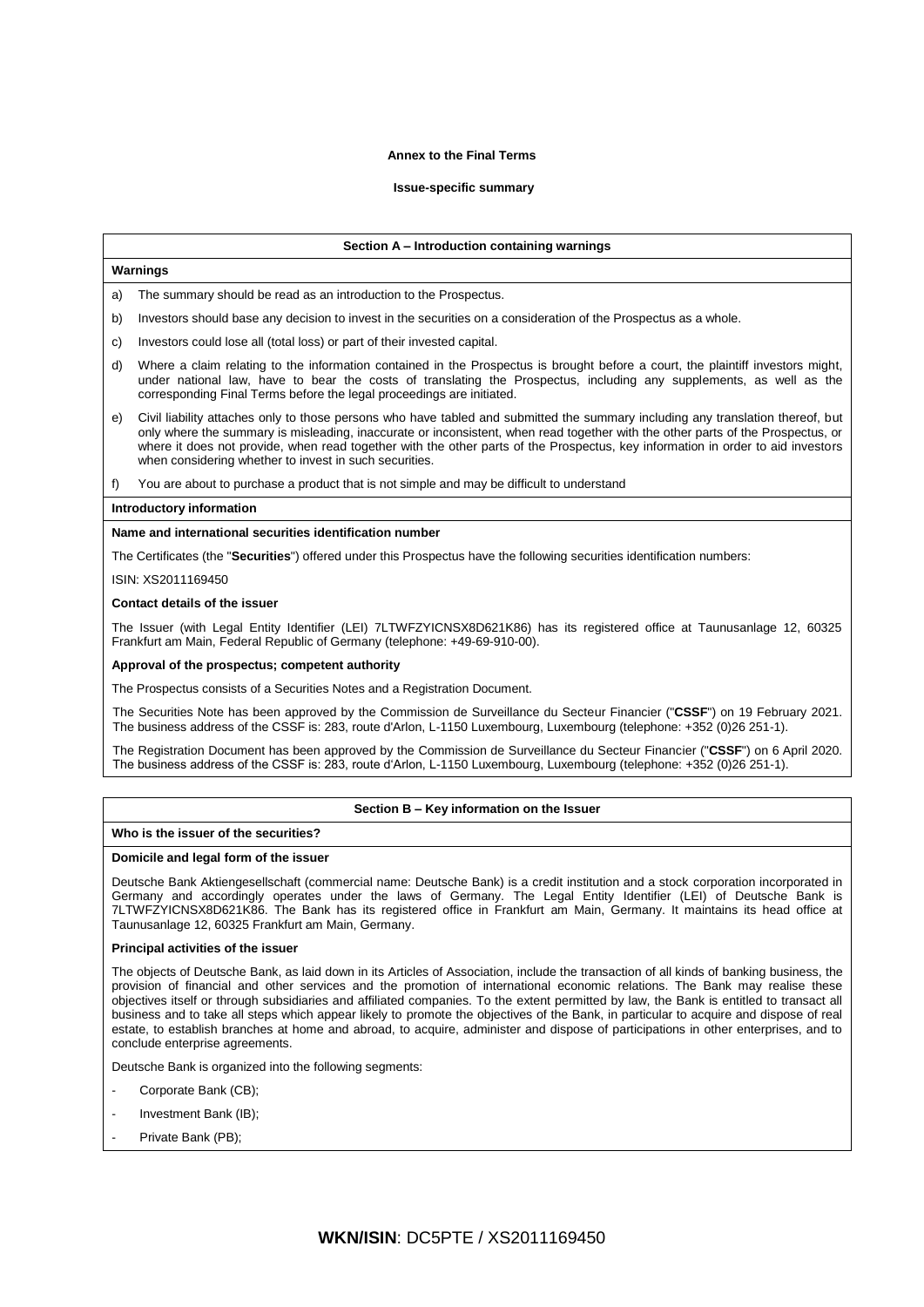### **Annex to the Final Terms**

### **Issue-specific summary**

#### **Section A – Introduction containing warnings**

### **Warnings**

The summary should be read as an introduction to the Prospectus.

- b) Investors should base any decision to invest in the securities on a consideration of the Prospectus as a whole.
- c) Investors could lose all (total loss) or part of their invested capital.
- d) Where a claim relating to the information contained in the Prospectus is brought before a court, the plaintiff investors might, under national law, have to bear the costs of translating the Prospectus, including any supplements, as well as the corresponding Final Terms before the legal proceedings are initiated.
- e) Civil liability attaches only to those persons who have tabled and submitted the summary including any translation thereof, but only where the summary is misleading, inaccurate or inconsistent, when read together with the other parts of the Prospectus, or where it does not provide, when read together with the other parts of the Prospectus, key information in order to aid investors when considering whether to invest in such securities.
- f) You are about to purchase a product that is not simple and may be difficult to understand

#### **Introductory information**

#### **Name and international securities identification number**

The Certificates (the "**Securities**") offered under this Prospectus have the following securities identification numbers:

ISIN: XS2011169450

#### **Contact details of the issuer**

The Issuer (with Legal Entity Identifier (LEI) 7LTWFZYICNSX8D621K86) has its registered office at Taunusanlage 12, 60325 Frankfurt am Main, Federal Republic of Germany (telephone: +49-69-910-00).

#### **Approval of the prospectus; competent authority**

The Prospectus consists of a Securities Notes and a Registration Document.

The Securities Note has been approved by the Commission de Surveillance du Secteur Financier ("**CSSF**") on 19 February 2021. The business address of the CSSF is: 283, route d'Arlon, L-1150 Luxembourg, Luxembourg (telephone: +352 (0)26 251-1).

The Registration Document has been approved by the Commission de Surveillance du Secteur Financier ("**CSSF**") on 6 April 2020. The business address of the CSSF is: 283, route d'Arlon, L-1150 Luxembourg, Luxembourg (telephone: +352 (0)26 251-1).

### **Section B – Key information on the Issuer**

#### **Who is the issuer of the securities?**

### **Domicile and legal form of the issuer**

Deutsche Bank Aktiengesellschaft (commercial name: Deutsche Bank) is a credit institution and a stock corporation incorporated in Germany and accordingly operates under the laws of Germany. The Legal Entity Identifier (LEI) of Deutsche Bank is 7LTWFZYICNSX8D621K86. The Bank has its registered office in Frankfurt am Main, Germany. It maintains its head office at Taunusanlage 12, 60325 Frankfurt am Main, Germany.

### **Principal activities of the issuer**

The objects of Deutsche Bank, as laid down in its Articles of Association, include the transaction of all kinds of banking business, the provision of financial and other services and the promotion of international economic relations. The Bank may realise these objectives itself or through subsidiaries and affiliated companies. To the extent permitted by law, the Bank is entitled to transact all business and to take all steps which appear likely to promote the objectives of the Bank, in particular to acquire and dispose of real estate, to establish branches at home and abroad, to acquire, administer and dispose of participations in other enterprises, and to conclude enterprise agreements.

Deutsche Bank is organized into the following segments:

- Corporate Bank (CB):
- Investment Bank (IB);
- Private Bank (PB);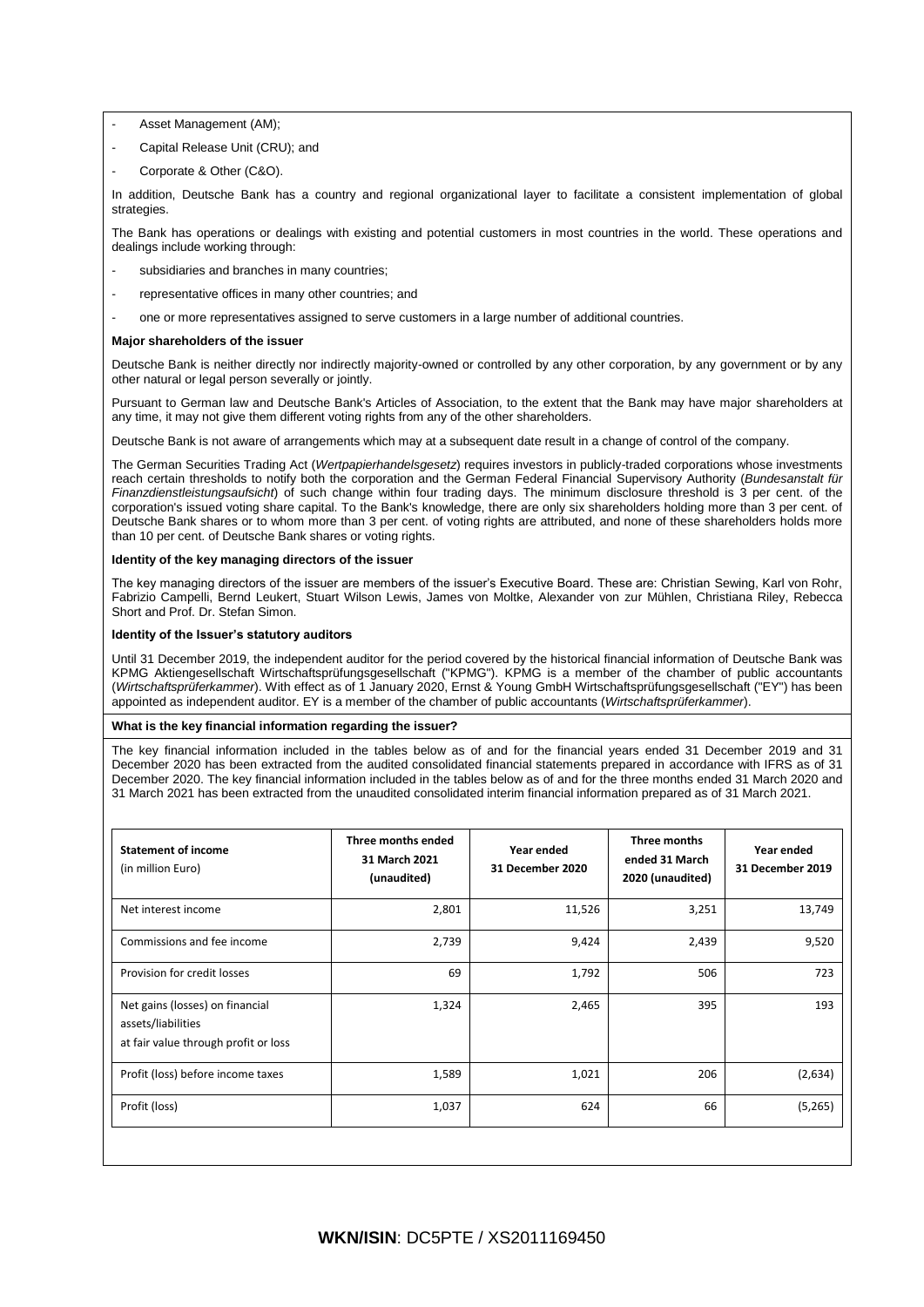- Asset Management (AM);
- Capital Release Unit (CRU); and
- Corporate & Other (C&O).

In addition, Deutsche Bank has a country and regional organizational layer to facilitate a consistent implementation of global strategies.

The Bank has operations or dealings with existing and potential customers in most countries in the world. These operations and dealings include working through:

- subsidiaries and branches in many countries:
- representative offices in many other countries; and
- one or more representatives assigned to serve customers in a large number of additional countries.

### **Major shareholders of the issuer**

Deutsche Bank is neither directly nor indirectly majority-owned or controlled by any other corporation, by any government or by any other natural or legal person severally or jointly.

Pursuant to German law and Deutsche Bank's Articles of Association, to the extent that the Bank may have major shareholders at any time, it may not give them different voting rights from any of the other shareholders.

Deutsche Bank is not aware of arrangements which may at a subsequent date result in a change of control of the company.

The German Securities Trading Act (*Wertpapierhandelsgesetz*) requires investors in publicly-traded corporations whose investments reach certain thresholds to notify both the corporation and the German Federal Financial Supervisory Authority (*Bundesanstalt für Finanzdienstleistungsaufsicht*) of such change within four trading days. The minimum disclosure threshold is 3 per cent. of the corporation's issued voting share capital. To the Bank's knowledge, there are only six shareholders holding more than 3 per cent. of Deutsche Bank shares or to whom more than 3 per cent. of voting rights are attributed, and none of these shareholders holds more than 10 per cent. of Deutsche Bank shares or voting rights.

# **Identity of the key managing directors of the issuer**

The key managing directors of the issuer are members of the issuer's Executive Board. These are: Christian Sewing, Karl von Rohr, Fabrizio Campelli, Bernd Leukert, Stuart Wilson Lewis, James von Moltke, Alexander von zur Mühlen, Christiana Riley, Rebecca Short and Prof. Dr. Stefan Simon.

### **Identity of the Issuer's statutory auditors**

Until 31 December 2019, the independent auditor for the period covered by the historical financial information of Deutsche Bank was KPMG Aktiengesellschaft Wirtschaftsprüfungsgesellschaft ("KPMG"). KPMG is a member of the chamber of public accountants (*Wirtschaftsprüferkammer*). With effect as of 1 January 2020, Ernst & Young GmbH Wirtschaftsprüfungsgesellschaft ("EY") has been appointed as independent auditor. EY is a member of the chamber of public accountants (*Wirtschaftsprüferkammer*).

### **What is the key financial information regarding the issuer?**

The key financial information included in the tables below as of and for the financial years ended 31 December 2019 and 31 December 2020 has been extracted from the audited consolidated financial statements prepared in accordance with IFRS as of 31 December 2020. The key financial information included in the tables below as of and for the three months ended 31 March 2020 and 31 March 2021 has been extracted from the unaudited consolidated interim financial information prepared as of 31 March 2021.

| <b>Statement of income</b><br>(in million Euro)                                               | Three months ended<br>31 March 2021<br>(unaudited) | Year ended<br>31 December 2020 | Three months<br>ended 31 March<br>2020 (unaudited) | Year ended<br>31 December 2019 |
|-----------------------------------------------------------------------------------------------|----------------------------------------------------|--------------------------------|----------------------------------------------------|--------------------------------|
| Net interest income                                                                           | 2,801                                              | 11,526                         | 3,251                                              | 13,749                         |
| Commissions and fee income                                                                    | 2,739                                              | 9,424                          | 2,439                                              | 9,520                          |
| Provision for credit losses                                                                   | 69                                                 | 1,792                          | 506                                                | 723                            |
| Net gains (losses) on financial<br>assets/liabilities<br>at fair value through profit or loss | 1,324                                              | 2,465                          | 395                                                | 193                            |
| Profit (loss) before income taxes                                                             | 1,589                                              | 1,021                          | 206                                                | (2,634)                        |
| Profit (loss)                                                                                 | 1,037                                              | 624                            | 66                                                 | (5,265)                        |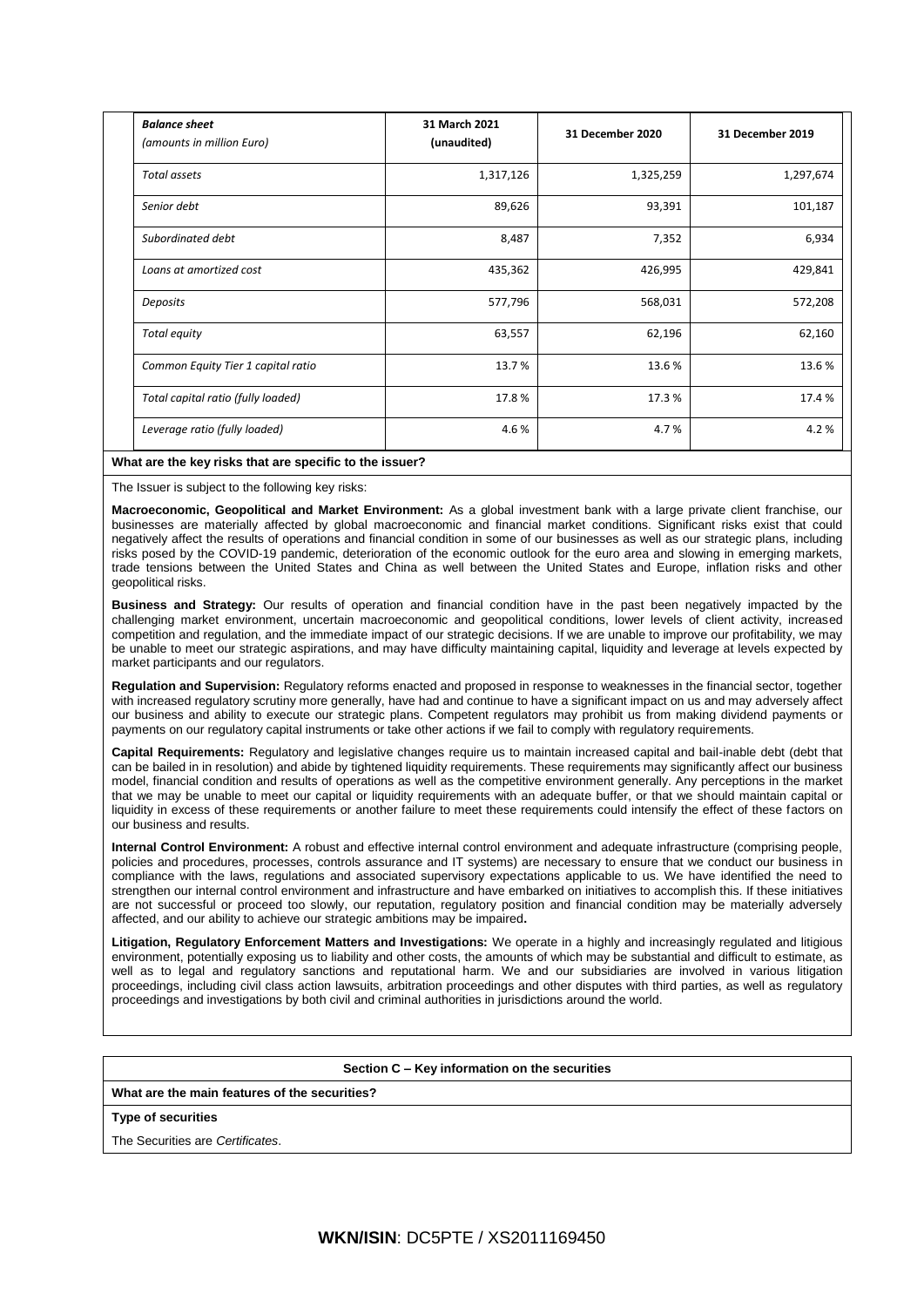| <b>Balance sheet</b><br>(amounts in million Euro) | 31 March 2021<br>(unaudited) | 31 December 2020 | 31 December 2019 |
|---------------------------------------------------|------------------------------|------------------|------------------|
| Total assets                                      | 1,317,126                    | 1,325,259        | 1,297,674        |
| Senior debt                                       | 89,626                       | 93,391           | 101,187          |
| Subordinated debt                                 | 8,487                        | 7,352            | 6,934            |
| Loans at amortized cost                           | 435,362                      | 426,995          | 429,841          |
| Deposits                                          | 577,796                      | 568,031          | 572,208          |
| Total equity                                      | 63,557                       | 62,196           | 62,160           |
| Common Equity Tier 1 capital ratio                | 13.7%                        | 13.6%            | 13.6%            |
| Total capital ratio (fully loaded)                | 17.8%                        | 17.3 %           | 17.4%            |
| Leverage ratio (fully loaded)                     | 4.6%                         | 4.7%             | 4.2%             |

# **What are the key risks that are specific to the issuer?**

The Issuer is subject to the following key risks:

**Macroeconomic, Geopolitical and Market Environment:** As a global investment bank with a large private client franchise, our businesses are materially affected by global macroeconomic and financial market conditions. Significant risks exist that could negatively affect the results of operations and financial condition in some of our businesses as well as our strategic plans, including risks posed by the COVID-19 pandemic, deterioration of the economic outlook for the euro area and slowing in emerging markets, trade tensions between the United States and China as well between the United States and Europe, inflation risks and other geopolitical risks.

**Business and Strategy:** Our results of operation and financial condition have in the past been negatively impacted by the challenging market environment, uncertain macroeconomic and geopolitical conditions, lower levels of client activity, increased competition and regulation, and the immediate impact of our strategic decisions. If we are unable to improve our profitability, we may be unable to meet our strategic aspirations, and may have difficulty maintaining capital, liquidity and leverage at levels expected by market participants and our regulators.

**Regulation and Supervision:** Regulatory reforms enacted and proposed in response to weaknesses in the financial sector, together with increased regulatory scrutiny more generally, have had and continue to have a significant impact on us and may adversely affect our business and ability to execute our strategic plans. Competent regulators may prohibit us from making dividend payments or payments on our regulatory capital instruments or take other actions if we fail to comply with regulatory requirements.

**Capital Requirements:** Regulatory and legislative changes require us to maintain increased capital and bail-inable debt (debt that can be bailed in in resolution) and abide by tightened liquidity requirements. These requirements may significantly affect our business model, financial condition and results of operations as well as the competitive environment generally. Any perceptions in the market that we may be unable to meet our capital or liquidity requirements with an adequate buffer, or that we should maintain capital or liquidity in excess of these requirements or another failure to meet these requirements could intensify the effect of these factors on our business and results.

**Internal Control Environment:** A robust and effective internal control environment and adequate infrastructure (comprising people, policies and procedures, processes, controls assurance and IT systems) are necessary to ensure that we conduct our business in compliance with the laws, regulations and associated supervisory expectations applicable to us. We have identified the need to strengthen our internal control environment and infrastructure and have embarked on initiatives to accomplish this. If these initiatives are not successful or proceed too slowly, our reputation, regulatory position and financial condition may be materially adversely affected, and our ability to achieve our strategic ambitions may be impaired**.**

**Litigation, Regulatory Enforcement Matters and Investigations:** We operate in a highly and increasingly regulated and litigious environment, potentially exposing us to liability and other costs, the amounts of which may be substantial and difficult to estimate, as well as to legal and regulatory sanctions and reputational harm. We and our subsidiaries are involved in various litigation proceedings, including civil class action lawsuits, arbitration proceedings and other disputes with third parties, as well as regulatory proceedings and investigations by both civil and criminal authorities in jurisdictions around the world.

#### **Section C – Key information on the securities**

### **What are the main features of the securities?**

### **Type of securities**

The Securities are *Certificates*.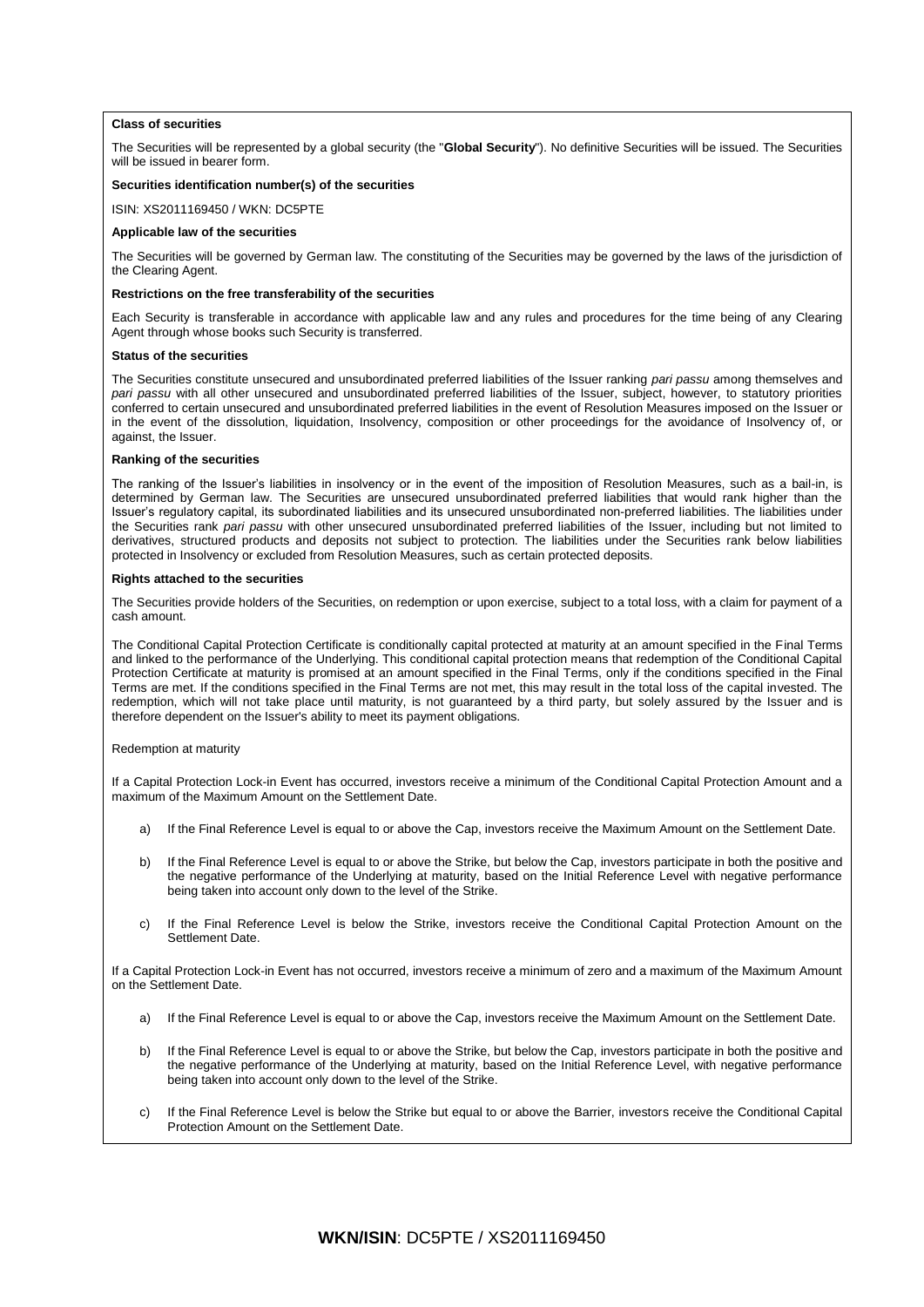#### **Class of securities**

The Securities will be represented by a global security (the "**Global Security**"). No definitive Securities will be issued. The Securities will be issued in bearer form.

# **Securities identification number(s) of the securities**

ISIN: XS2011169450 / WKN: DC5PTE

#### **Applicable law of the securities**

The Securities will be governed by German law. The constituting of the Securities may be governed by the laws of the jurisdiction of the Clearing Agent.

#### **Restrictions on the free transferability of the securities**

Each Security is transferable in accordance with applicable law and any rules and procedures for the time being of any Clearing Agent through whose books such Security is transferred.

#### **Status of the securities**

The Securities constitute unsecured and unsubordinated preferred liabilities of the Issuer ranking *pari passu* among themselves and *pari passu* with all other unsecured and unsubordinated preferred liabilities of the Issuer, subject, however, to statutory priorities conferred to certain unsecured and unsubordinated preferred liabilities in the event of Resolution Measures imposed on the Issuer or in the event of the dissolution, liquidation, Insolvency, composition or other proceedings for the avoidance of Insolvency of, or against, the Issuer.

#### **Ranking of the securities**

The ranking of the Issuer's liabilities in insolvency or in the event of the imposition of Resolution Measures, such as a bail-in, is determined by German law. The Securities are unsecured unsubordinated preferred liabilities that would rank higher than the Issuer's regulatory capital, its subordinated liabilities and its unsecured unsubordinated non-preferred liabilities. The liabilities under the Securities rank *pari passu* with other unsecured unsubordinated preferred liabilities of the Issuer, including but not limited to derivatives, structured products and deposits not subject to protection. The liabilities under the Securities rank below liabilities protected in Insolvency or excluded from Resolution Measures, such as certain protected deposits.

#### **Rights attached to the securities**

The Securities provide holders of the Securities, on redemption or upon exercise, subject to a total loss, with a claim for payment of a cash amount.

The Conditional Capital Protection Certificate is conditionally capital protected at maturity at an amount specified in the Final Terms and linked to the performance of the Underlying. This conditional capital protection means that redemption of the Conditional Capital Protection Certificate at maturity is promised at an amount specified in the Final Terms, only if the conditions specified in the Final Terms are met. If the conditions specified in the Final Terms are not met, this may result in the total loss of the capital invested. The redemption, which will not take place until maturity, is not guaranteed by a third party, but solely assured by the Issuer and is therefore dependent on the Issuer's ability to meet its payment obligations.

#### Redemption at maturity

If a Capital Protection Lock-in Event has occurred, investors receive a minimum of the Conditional Capital Protection Amount and a maximum of the Maximum Amount on the Settlement Date.

- a) If the Final Reference Level is equal to or above the Cap, investors receive the Maximum Amount on the Settlement Date.
- b) If the Final Reference Level is equal to or above the Strike, but below the Cap, investors participate in both the positive and the negative performance of the Underlying at maturity, based on the Initial Reference Level with negative performance being taken into account only down to the level of the Strike.
- c) If the Final Reference Level is below the Strike, investors receive the Conditional Capital Protection Amount on the Settlement Date.

If a Capital Protection Lock-in Event has not occurred, investors receive a minimum of zero and a maximum of the Maximum Amount on the Settlement Date.

- a) If the Final Reference Level is equal to or above the Cap, investors receive the Maximum Amount on the Settlement Date.
- b) If the Final Reference Level is equal to or above the Strike, but below the Cap, investors participate in both the positive and the negative performance of the Underlying at maturity, based on the Initial Reference Level, with negative performance being taken into account only down to the level of the Strike.
- c) If the Final Reference Level is below the Strike but equal to or above the Barrier, investors receive the Conditional Capital Protection Amount on the Settlement Date.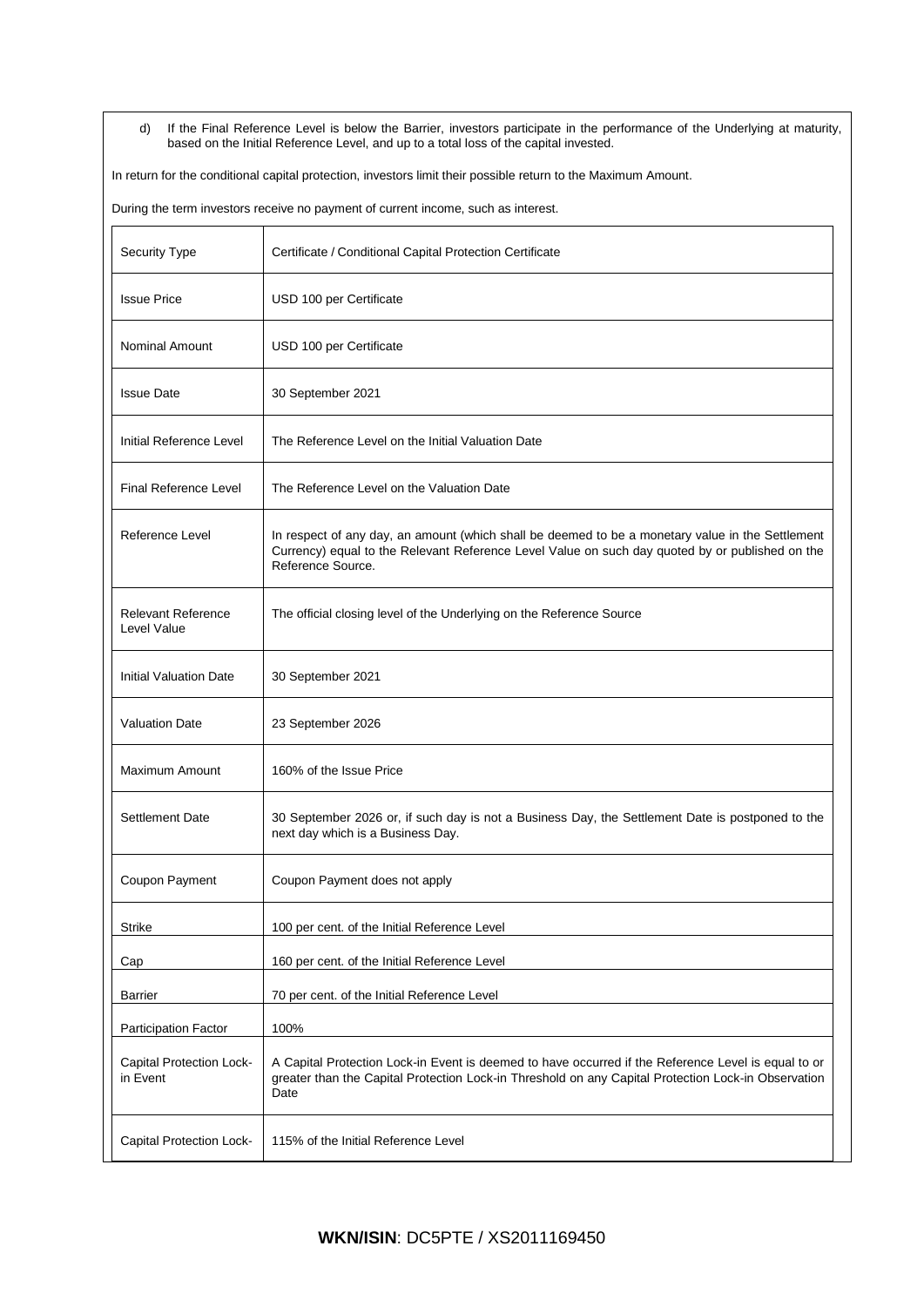d) If the Final Reference Level is below the Barrier, investors participate in the performance of the Underlying at maturity, based on the Initial Reference Level, and up to a total loss of the capital invested.

In return for the conditional capital protection, investors limit their possible return to the Maximum Amount.

During the term investors receive no payment of current income, such as interest.

| Security Type                            | Certificate / Conditional Capital Protection Certificate                                                                                                                                                                 |
|------------------------------------------|--------------------------------------------------------------------------------------------------------------------------------------------------------------------------------------------------------------------------|
| <b>Issue Price</b>                       | USD 100 per Certificate                                                                                                                                                                                                  |
| <b>Nominal Amount</b>                    | USD 100 per Certificate                                                                                                                                                                                                  |
| <b>Issue Date</b>                        | 30 September 2021                                                                                                                                                                                                        |
| Initial Reference Level                  | The Reference Level on the Initial Valuation Date                                                                                                                                                                        |
| <b>Final Reference Level</b>             | The Reference Level on the Valuation Date                                                                                                                                                                                |
| Reference Level                          | In respect of any day, an amount (which shall be deemed to be a monetary value in the Settlement<br>Currency) equal to the Relevant Reference Level Value on such day quoted by or published on the<br>Reference Source. |
| <b>Relevant Reference</b><br>Level Value | The official closing level of the Underlying on the Reference Source                                                                                                                                                     |
| <b>Initial Valuation Date</b>            | 30 September 2021                                                                                                                                                                                                        |
| <b>Valuation Date</b>                    | 23 September 2026                                                                                                                                                                                                        |
| Maximum Amount                           | 160% of the Issue Price                                                                                                                                                                                                  |
| <b>Settlement Date</b>                   | 30 September 2026 or, if such day is not a Business Day, the Settlement Date is postponed to the<br>next day which is a Business Day.                                                                                    |
| Coupon Payment                           | Coupon Payment does not apply                                                                                                                                                                                            |
| <b>Strike</b>                            | 100 per cent. of the Initial Reference Level                                                                                                                                                                             |
| Cap                                      | 160 per cent. of the Initial Reference Level                                                                                                                                                                             |
| Barrier                                  | 70 per cent. of the Initial Reference Level                                                                                                                                                                              |
| <b>Participation Factor</b>              | 100%                                                                                                                                                                                                                     |
| Capital Protection Lock-<br>in Event     | A Capital Protection Lock-in Event is deemed to have occurred if the Reference Level is equal to or<br>greater than the Capital Protection Lock-in Threshold on any Capital Protection Lock-in Observation<br>Date       |
| Capital Protection Lock-                 | 115% of the Initial Reference Level                                                                                                                                                                                      |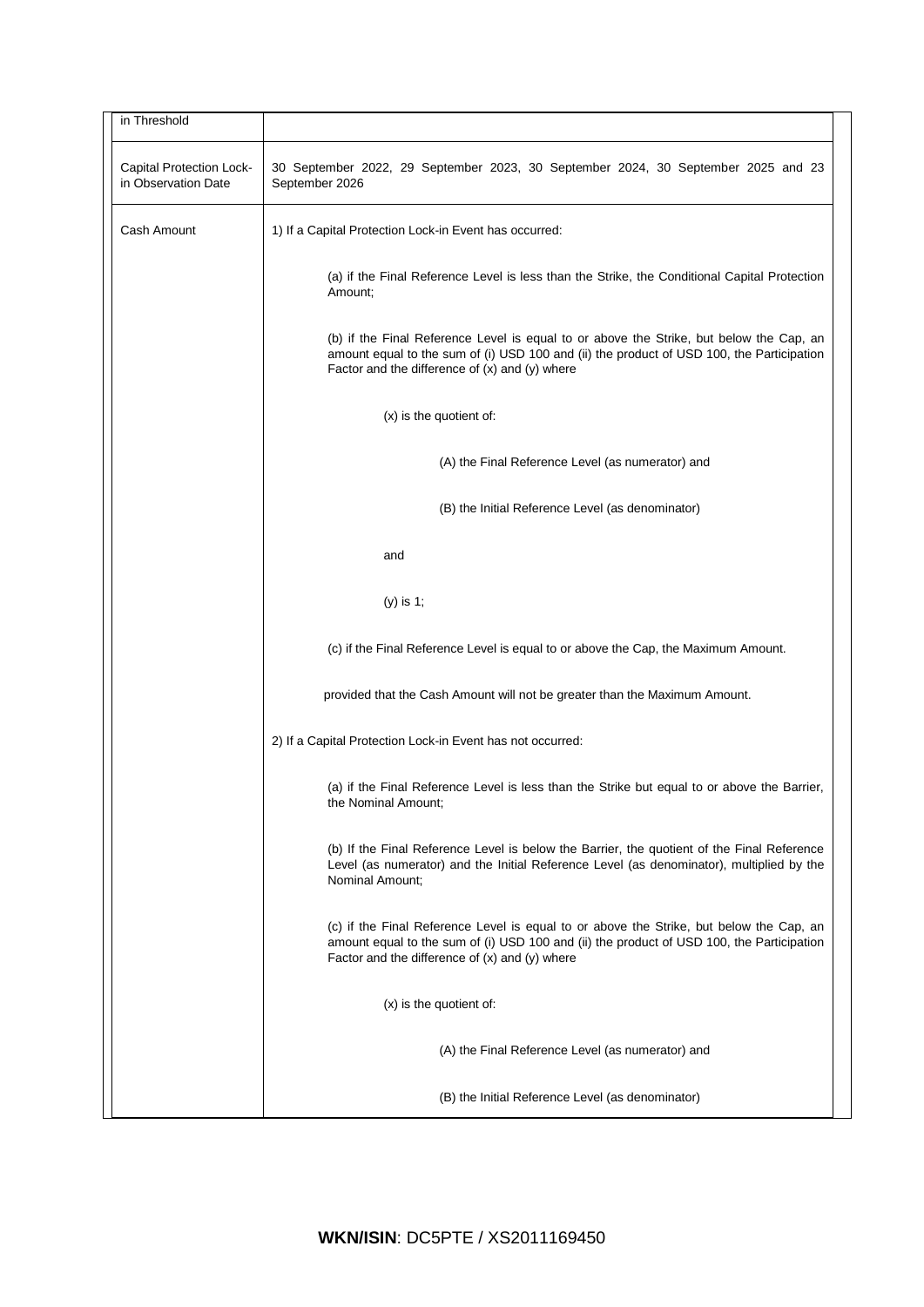| in Threshold                                           |                                                                                                                                                                                                                                            |  |  |
|--------------------------------------------------------|--------------------------------------------------------------------------------------------------------------------------------------------------------------------------------------------------------------------------------------------|--|--|
| <b>Capital Protection Lock-</b><br>in Observation Date | 30 September 2022, 29 September 2023, 30 September 2024, 30 September 2025 and 23<br>September 2026                                                                                                                                        |  |  |
| Cash Amount                                            | 1) If a Capital Protection Lock-in Event has occurred:                                                                                                                                                                                     |  |  |
|                                                        | (a) if the Final Reference Level is less than the Strike, the Conditional Capital Protection<br>Amount;                                                                                                                                    |  |  |
|                                                        | (b) if the Final Reference Level is equal to or above the Strike, but below the Cap, an<br>amount equal to the sum of (i) USD 100 and (ii) the product of USD 100, the Participation<br>Factor and the difference of $(x)$ and $(y)$ where |  |  |
|                                                        | (x) is the quotient of:                                                                                                                                                                                                                    |  |  |
|                                                        | (A) the Final Reference Level (as numerator) and                                                                                                                                                                                           |  |  |
|                                                        | (B) the Initial Reference Level (as denominator)                                                                                                                                                                                           |  |  |
|                                                        | and                                                                                                                                                                                                                                        |  |  |
|                                                        | (y) is 1;                                                                                                                                                                                                                                  |  |  |
|                                                        | (c) if the Final Reference Level is equal to or above the Cap, the Maximum Amount.                                                                                                                                                         |  |  |
|                                                        | provided that the Cash Amount will not be greater than the Maximum Amount.                                                                                                                                                                 |  |  |
|                                                        | 2) If a Capital Protection Lock-in Event has not occurred:                                                                                                                                                                                 |  |  |
|                                                        | (a) if the Final Reference Level is less than the Strike but equal to or above the Barrier,<br>the Nominal Amount;                                                                                                                         |  |  |
|                                                        | (b) If the Final Reference Level is below the Barrier, the quotient of the Final Reference<br>Level (as numerator) and the Initial Reference Level (as denominator), multiplied by the<br>Nominal Amount;                                  |  |  |
|                                                        | (c) if the Final Reference Level is equal to or above the Strike, but below the Cap, an<br>amount equal to the sum of (i) USD 100 and (ii) the product of USD 100, the Participation<br>Factor and the difference of $(x)$ and $(y)$ where |  |  |
|                                                        | (x) is the quotient of:                                                                                                                                                                                                                    |  |  |
|                                                        | (A) the Final Reference Level (as numerator) and                                                                                                                                                                                           |  |  |
|                                                        | (B) the Initial Reference Level (as denominator)                                                                                                                                                                                           |  |  |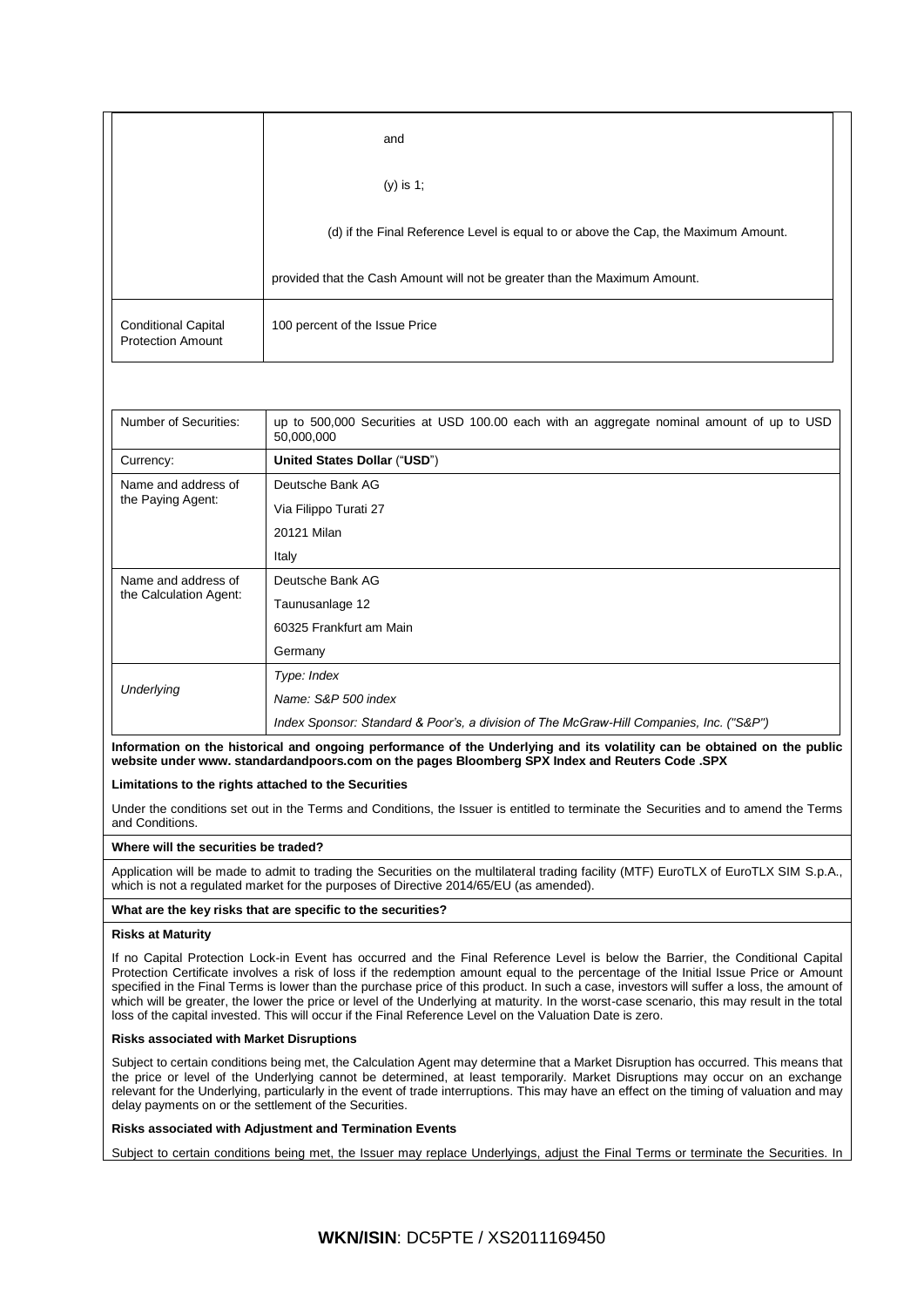|                                                        | and                                                                                |  |
|--------------------------------------------------------|------------------------------------------------------------------------------------|--|
|                                                        | $(y)$ is 1;                                                                        |  |
|                                                        | (d) if the Final Reference Level is equal to or above the Cap, the Maximum Amount. |  |
|                                                        | provided that the Cash Amount will not be greater than the Maximum Amount.         |  |
| <b>Conditional Capital</b><br><b>Protection Amount</b> | 100 percent of the Issue Price                                                     |  |

| Number of Securities:                         | up to 500,000 Securities at USD 100.00 each with an aggregate nominal amount of up to USD<br>50,000,000 |  |  |
|-----------------------------------------------|---------------------------------------------------------------------------------------------------------|--|--|
| Currency:                                     | United States Dollar ("USD")                                                                            |  |  |
| Name and address of<br>the Paying Agent:      | Deutsche Bank AG                                                                                        |  |  |
|                                               | Via Filippo Turati 27                                                                                   |  |  |
|                                               | 20121 Milan                                                                                             |  |  |
|                                               | Italy                                                                                                   |  |  |
| Name and address of<br>the Calculation Agent: | Deutsche Bank AG                                                                                        |  |  |
|                                               | Taunusanlage 12                                                                                         |  |  |
|                                               | 60325 Frankfurt am Main                                                                                 |  |  |
|                                               | Germany                                                                                                 |  |  |
| Underlying                                    | Type: Index                                                                                             |  |  |
|                                               | Name: S&P 500 index                                                                                     |  |  |
|                                               | Index Sponsor: Standard & Poor's, a division of The McGraw-Hill Companies, Inc. ("S&P")                 |  |  |

# **Information on the historical and ongoing performance of the Underlying and its volatility can be obtained on the public website under www. standardandpoors.com on the pages Bloomberg SPX Index and Reuters Code .SPX**

### **Limitations to the rights attached to the Securities**

Under the conditions set out in the Terms and Conditions, the Issuer is entitled to terminate the Securities and to amend the Terms and Conditions.

### **Where will the securities be traded?**

Application will be made to admit to trading the Securities on the multilateral trading facility (MTF) EuroTLX of EuroTLX SIM S.p.A., which is not a regulated market for the purposes of Directive 2014/65/EU (as amended).

### **What are the key risks that are specific to the securities?**

### **Risks at Maturity**

If no Capital Protection Lock-in Event has occurred and the Final Reference Level is below the Barrier, the Conditional Capital Protection Certificate involves a risk of loss if the redemption amount equal to the percentage of the Initial Issue Price or Amount specified in the Final Terms is lower than the purchase price of this product. In such a case, investors will suffer a loss, the amount of which will be greater, the lower the price or level of the Underlying at maturity. In the worst-case scenario, this may result in the total loss of the capital invested. This will occur if the Final Reference Level on the Valuation Date is zero.

### **Risks associated with Market Disruptions**

Subject to certain conditions being met, the Calculation Agent may determine that a Market Disruption has occurred. This means that the price or level of the Underlying cannot be determined, at least temporarily. Market Disruptions may occur on an exchange relevant for the Underlying, particularly in the event of trade interruptions. This may have an effect on the timing of valuation and may delay payments on or the settlement of the Securities.

### **Risks associated with Adjustment and Termination Events**

Subject to certain conditions being met, the Issuer may replace Underlyings, adjust the Final Terms or terminate the Securities. In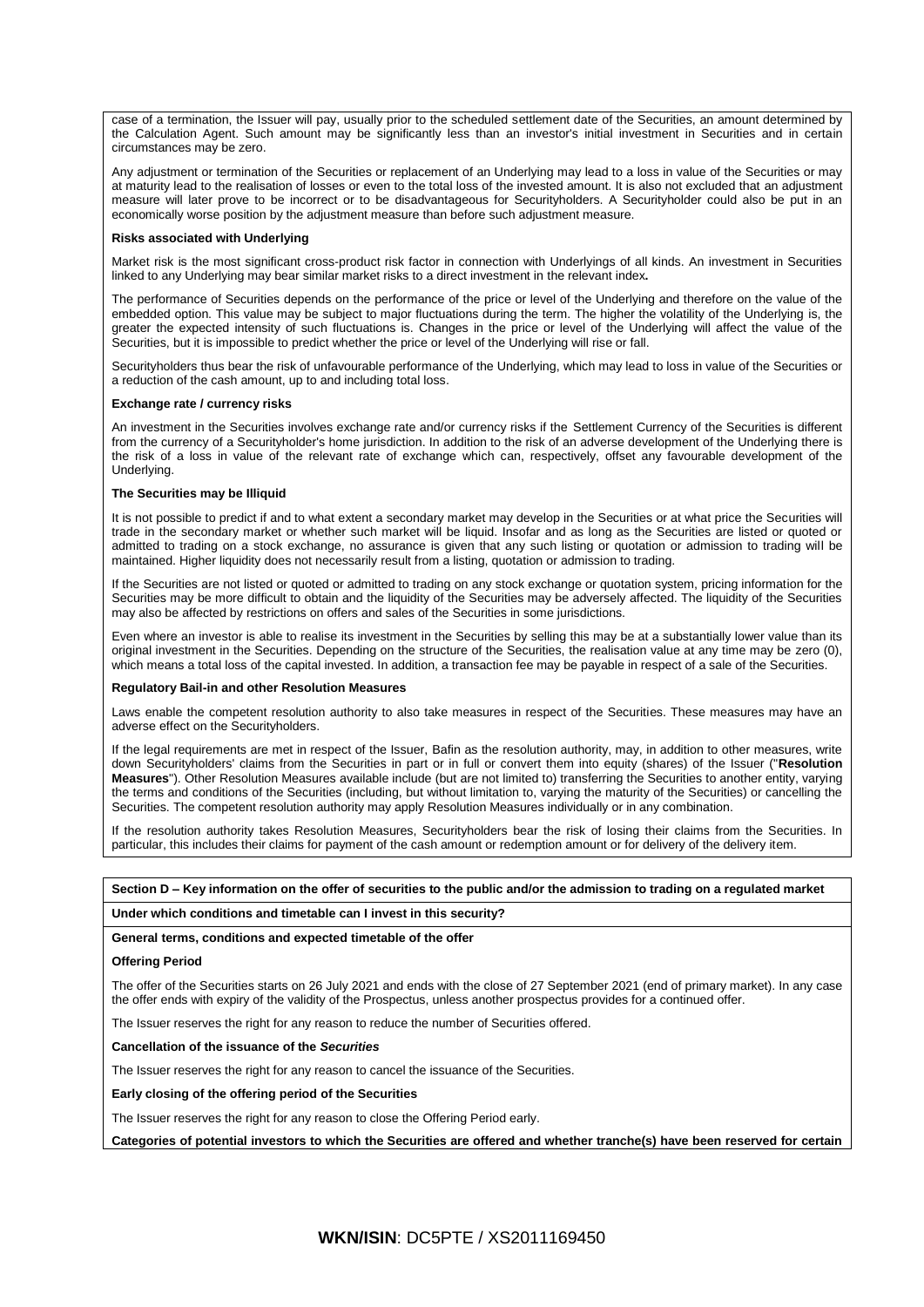case of a termination, the Issuer will pay, usually prior to the scheduled settlement date of the Securities, an amount determined by the Calculation Agent. Such amount may be significantly less than an investor's initial investment in Securities and in certain circumstances may be zero.

Any adjustment or termination of the Securities or replacement of an Underlying may lead to a loss in value of the Securities or may at maturity lead to the realisation of losses or even to the total loss of the invested amount. It is also not excluded that an adjustment measure will later prove to be incorrect or to be disadvantageous for Securityholders. A Securityholder could also be put in an economically worse position by the adjustment measure than before such adjustment measure.

#### **Risks associated with Underlying**

Market risk is the most significant cross-product risk factor in connection with Underlyings of all kinds. An investment in Securities linked to any Underlying may bear similar market risks to a direct investment in the relevant index**.**

The performance of Securities depends on the performance of the price or level of the Underlying and therefore on the value of the embedded option. This value may be subject to major fluctuations during the term. The higher the volatility of the Underlying is, the greater the expected intensity of such fluctuations is. Changes in the price or level of the Underlying will affect the value of the Securities, but it is impossible to predict whether the price or level of the Underlying will rise or fall.

Securityholders thus bear the risk of unfavourable performance of the Underlying, which may lead to loss in value of the Securities or a reduction of the cash amount, up to and including total loss.

#### **Exchange rate / currency risks**

An investment in the Securities involves exchange rate and/or currency risks if the Settlement Currency of the Securities is different from the currency of a Securityholder's home jurisdiction. In addition to the risk of an adverse development of the Underlying there is the risk of a loss in value of the relevant rate of exchange which can, respectively, offset any favourable development of the Underlying.

#### **The Securities may be Illiquid**

It is not possible to predict if and to what extent a secondary market may develop in the Securities or at what price the Securities will trade in the secondary market or whether such market will be liquid. Insofar and as long as the Securities are listed or quoted or admitted to trading on a stock exchange, no assurance is given that any such listing or quotation or admission to trading will be maintained. Higher liquidity does not necessarily result from a listing, quotation or admission to trading.

If the Securities are not listed or quoted or admitted to trading on any stock exchange or quotation system, pricing information for the Securities may be more difficult to obtain and the liquidity of the Securities may be adversely affected. The liquidity of the Securities may also be affected by restrictions on offers and sales of the Securities in some jurisdictions.

Even where an investor is able to realise its investment in the Securities by selling this may be at a substantially lower value than its original investment in the Securities. Depending on the structure of the Securities, the realisation value at any time may be zero (0), which means a total loss of the capital invested. In addition, a transaction fee may be payable in respect of a sale of the Securities.

#### **Regulatory Bail-in and other Resolution Measures**

Laws enable the competent resolution authority to also take measures in respect of the Securities. These measures may have an adverse effect on the Securityholders.

If the legal requirements are met in respect of the Issuer, Bafin as the resolution authority, may, in addition to other measures, write down Securityholders' claims from the Securities in part or in full or convert them into equity (shares) of the Issuer ("**Resolution Measures**"). Other Resolution Measures available include (but are not limited to) transferring the Securities to another entity, varying the terms and conditions of the Securities (including, but without limitation to, varying the maturity of the Securities) or cancelling the Securities. The competent resolution authority may apply Resolution Measures individually or in any combination.

If the resolution authority takes Resolution Measures, Securityholders bear the risk of losing their claims from the Securities. In particular, this includes their claims for payment of the cash amount or redemption amount or for delivery of the delivery item.

# **Section D – Key information on the offer of securities to the public and/or the admission to trading on a regulated market**

#### **Under which conditions and timetable can I invest in this security?**

**General terms, conditions and expected timetable of the offer**

#### **Offering Period**

The offer of the Securities starts on 26 July 2021 and ends with the close of 27 September 2021 (end of primary market). In any case the offer ends with expiry of the validity of the Prospectus, unless another prospectus provides for a continued offer.

The Issuer reserves the right for any reason to reduce the number of Securities offered.

### **Cancellation of the issuance of the** *Securities*

The Issuer reserves the right for any reason to cancel the issuance of the Securities.

**Early closing of the offering period of the Securities**

The Issuer reserves the right for any reason to close the Offering Period early.

**Categories of potential investors to which the Securities are offered and whether tranche(s) have been reserved for certain**